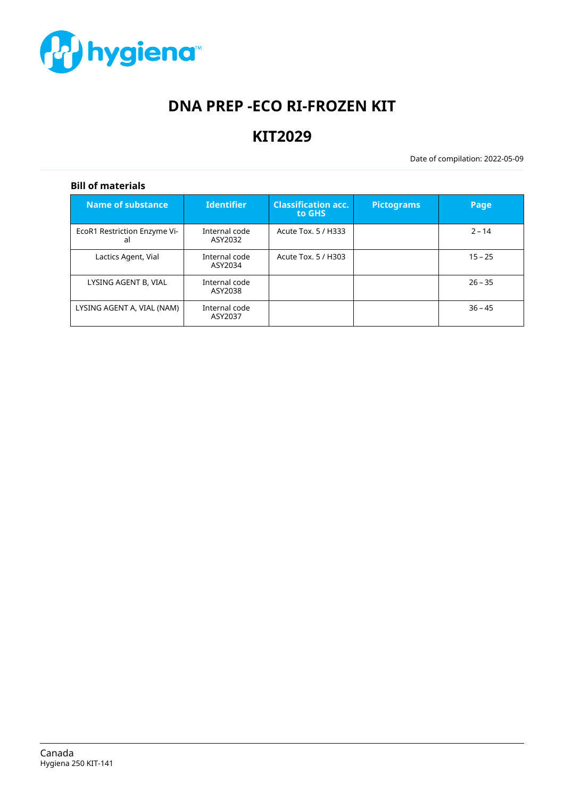

# **DNA PREP -ECO RI-FROZEN KIT**

# **KIT2029**

Date of compilation: 2022-05-09

# **Bill of materials**

| Name of substance                  | <b>Identifier</b>        | <b>Classification acc.</b><br>to GHS | <b>Pictograms</b> | Page      |
|------------------------------------|--------------------------|--------------------------------------|-------------------|-----------|
| EcoR1 Restriction Enzyme Vi-<br>al | Internal code<br>ASY2032 | Acute Tox. 5 / H333                  |                   | $2 - 14$  |
| Lactics Agent, Vial                | Internal code<br>ASY2034 | Acute Tox. 5 / H303                  |                   | $15 - 25$ |
| LYSING AGENT B, VIAL               | Internal code<br>ASY2038 |                                      |                   | $26 - 35$ |
| LYSING AGENT A, VIAL (NAM)         | Internal code<br>ASY2037 |                                      |                   | $36 - 45$ |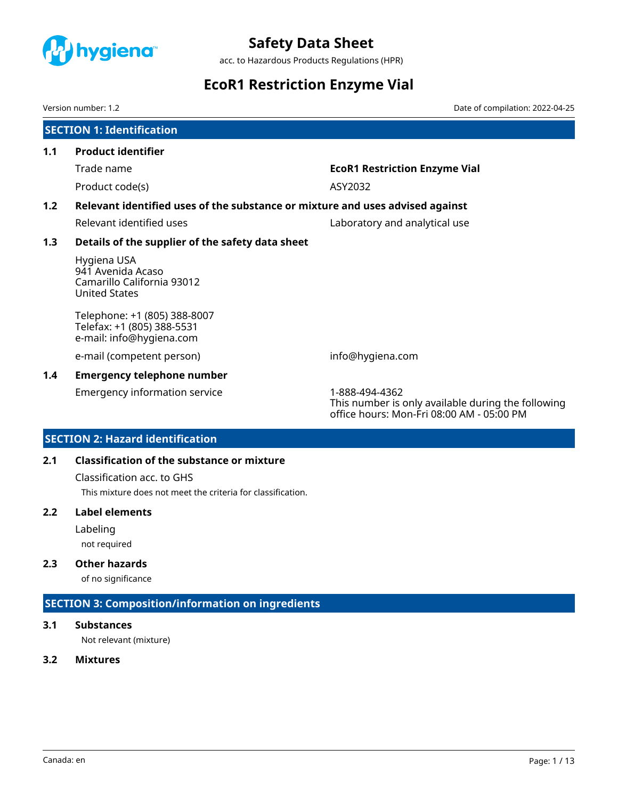<span id="page-1-0"></span>

acc. to Hazardous Products Regulations (HPR)

# **EcoR1 Restriction Enzyme Vial**

Version number: 1.2 Date of compilation: 2022-04-25

| <b>EcoR1 Restriction Enzyme Vial</b>                                          |
|-------------------------------------------------------------------------------|
|                                                                               |
| Relevant identified uses of the substance or mixture and uses advised against |
| Laboratory and analytical use                                                 |
|                                                                               |
|                                                                               |
|                                                                               |
| info@hygiena.com                                                              |
|                                                                               |
|                                                                               |

Emergency information service 1-888-494-4362

This number is only available during the following office hours: Mon-Fri 08:00 AM - 05:00 PM

# **SECTION 2: Hazard identification**

# **2.1 Classification of the substance or mixture**

Classification acc. to GHS

This mixture does not meet the criteria for classification.

# **2.2 Label elements**

Labeling

not required

# **2.3 Other hazards**

of no significance

# **SECTION 3: Composition/information on ingredients**

### **3.1 Substances**

Not relevant (mixture)

# **3.2 Mixtures**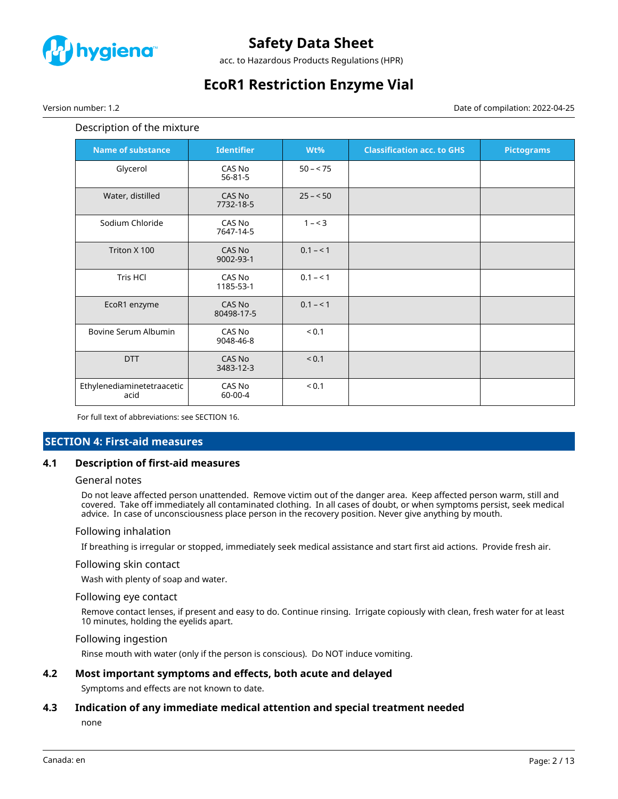

acc. to Hazardous Products Regulations (HPR)

# **EcoR1 Restriction Enzyme Vial**

Version number: 1.2 Date of compilation: 2022-04-25

### Description of the mixture

| <b>Name of substance</b>           | <b>Identifier</b>       | Wt%        | <b>Classification acc. to GHS</b> | <b>Pictograms</b> |
|------------------------------------|-------------------------|------------|-----------------------------------|-------------------|
| Glycerol                           | CAS No<br>$56 - 81 - 5$ | $50 - 75$  |                                   |                   |
| Water, distilled                   | CAS No<br>7732-18-5     | $25 - 50$  |                                   |                   |
| Sodium Chloride                    | CAS No<br>7647-14-5     | $1 - 3$    |                                   |                   |
| Triton X 100                       | CAS No<br>9002-93-1     | $0.1 - 1$  |                                   |                   |
| Tris HCl                           | CAS No<br>1185-53-1     | $0.1 - 1$  |                                   |                   |
| EcoR1 enzyme                       | CAS No<br>80498-17-5    | $0.1 - 1$  |                                   |                   |
| Bovine Serum Albumin               | CAS No<br>9048-46-8     | ${}_{0.1}$ |                                   |                   |
| <b>DTT</b>                         | CAS No<br>3483-12-3     | < 0.1      |                                   |                   |
| Ethylenediaminetetraacetic<br>acid | CAS No<br>60-00-4       | < 0.1      |                                   |                   |

For full text of abbreviations: see SECTION 16.

### **SECTION 4: First-aid measures**

### **4.1 Description of first-aid measures**

#### General notes

Do not leave affected person unattended. Remove victim out of the danger area. Keep affected person warm, still and covered. Take off immediately all contaminated clothing. In all cases of doubt, or when symptoms persist, seek medical advice. In case of unconsciousness place person in the recovery position. Never give anything by mouth.

#### Following inhalation

If breathing is irregular or stopped, immediately seek medical assistance and start first aid actions. Provide fresh air.

#### Following skin contact

Wash with plenty of soap and water.

#### Following eye contact

Remove contact lenses, if present and easy to do. Continue rinsing. Irrigate copiously with clean, fresh water for at least 10 minutes, holding the eyelids apart.

#### Following ingestion

Rinse mouth with water (only if the person is conscious). Do NOT induce vomiting.

### **4.2 Most important symptoms and effects, both acute and delayed**

Symptoms and effects are not known to date.

#### **4.3 Indication of any immediate medical attention and special treatment needed**

none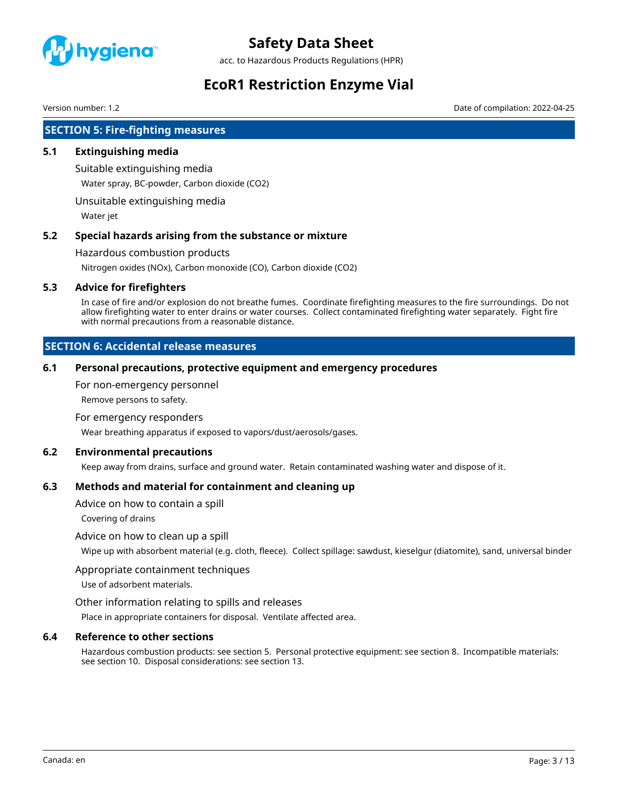

acc. to Hazardous Products Regulations (HPR)

# **EcoR1 Restriction Enzyme Vial**

Version number: 1.2 Date of compilation: 2022-04-25

# **SECTION 5: Fire-fighting measures**

# **5.1 Extinguishing media**

Suitable extinguishing media

Water spray, BC-powder, Carbon dioxide (CO2)

Unsuitable extinguishing media

Water jet

# **5.2 Special hazards arising from the substance or mixture**

Hazardous combustion products

Nitrogen oxides (NOx), Carbon monoxide (CO), Carbon dioxide (CO2)

# **5.3 Advice for firefighters**

In case of fire and/or explosion do not breathe fumes. Coordinate firefighting measures to the fire surroundings. Do not allow firefighting water to enter drains or water courses. Collect contaminated firefighting water separately. Fight fire with normal precautions from a reasonable distance.

# **SECTION 6: Accidental release measures**

### **6.1 Personal precautions, protective equipment and emergency procedures**

For non-emergency personnel

Remove persons to safety.

#### For emergency responders

Wear breathing apparatus if exposed to vapors/dust/aerosols/gases.

### **6.2 Environmental precautions**

Keep away from drains, surface and ground water. Retain contaminated washing water and dispose of it.

### **6.3 Methods and material for containment and cleaning up**

Advice on how to contain a spill

Covering of drains

### Advice on how to clean up a spill

Wipe up with absorbent material (e.g. cloth, fleece). Collect spillage: sawdust, kieselgur (diatomite), sand, universal binder

### Appropriate containment techniques

Use of adsorbent materials.

### Other information relating to spills and releases

Place in appropriate containers for disposal. Ventilate affected area.

### **6.4 Reference to other sections**

Hazardous combustion products: see section 5. Personal protective equipment: see section 8. Incompatible materials: see section 10. Disposal considerations: see section 13.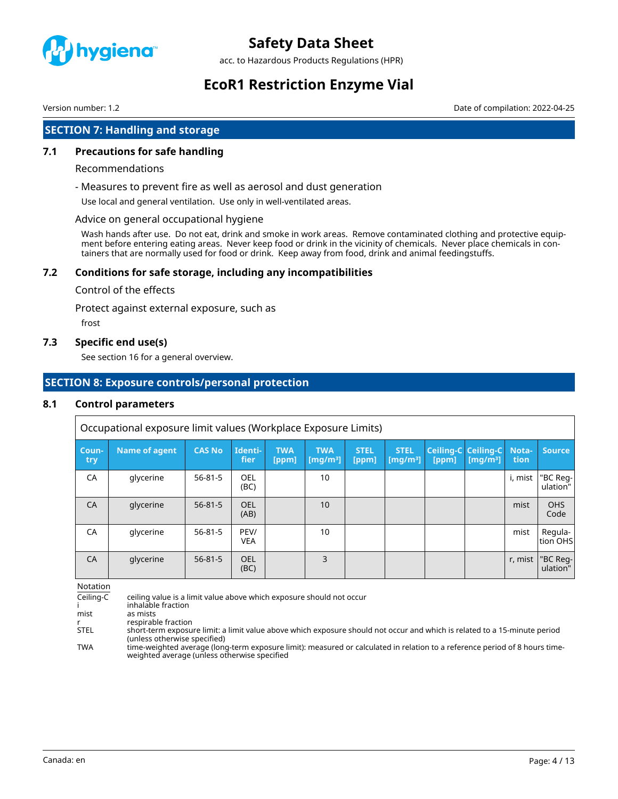

acc. to Hazardous Products Regulations (HPR)

# **EcoR1 Restriction Enzyme Vial**

Version number: 1.2 Date of compilation: 2022-04-25

# **SECTION 7: Handling and storage**

# **7.1 Precautions for safe handling**

#### Recommendations

- Measures to prevent fire as well as aerosol and dust generation

Use local and general ventilation. Use only in well-ventilated areas.

#### Advice on general occupational hygiene

Wash hands after use. Do not eat, drink and smoke in work areas. Remove contaminated clothing and protective equipment before entering eating areas. Never keep food or drink in the vicinity of chemicals. Never place chemicals in containers that are normally used for food or drink. Keep away from food, drink and animal feedingstuffs.

# **7.2 Conditions for safe storage, including any incompatibilities**

#### Control of the effects

Protect against external exposure, such as

frost

#### **7.3 Specific end use(s)**

See section 16 for a general overview.

# **SECTION 8: Exposure controls/personal protection**

#### **8.1 Control parameters**

Occupational exposure limit values (Workplace Exposure Limits)

| Coun-<br>try | Name of agent | <b>CAS No</b> | Identi-<br>fier    | <b>TWA</b><br>[ppm] | <b>TWA</b><br>[mg/m <sup>3</sup> ] | <b>STEL</b><br>[ppm] | <b>STEL</b><br>[ $mq/m3$ ] | <b>Ceiling-C Ceiling-C</b><br>[ppm] | [mq/m <sup>3</sup> ] | Nota-<br>tion | <b>Source</b>        |
|--------------|---------------|---------------|--------------------|---------------------|------------------------------------|----------------------|----------------------------|-------------------------------------|----------------------|---------------|----------------------|
| CA           | glycerine     | $56 - 81 - 5$ | OEL<br>(BC)        |                     | 10                                 |                      |                            |                                     |                      | i, mist       | "BC Reg-<br>ulation" |
| CA           | glycerine     | $56 - 81 - 5$ | <b>OEL</b><br>(AB) |                     | 10                                 |                      |                            |                                     |                      | mist          | <b>OHS</b><br>Code   |
| CA           | glycerine     | $56 - 81 - 5$ | PEV/<br><b>VEA</b> |                     | 10                                 |                      |                            |                                     |                      | mist          | Regula-<br>tion OHS  |
| CA           | glycerine     | $56 - 81 - 5$ | OEL<br>(BC)        |                     | 3                                  |                      |                            |                                     |                      | r, mist       | "BC Reg-<br>ulation" |

Notation

| Ceiling-C   | ceiling value is a limit value above which exposure should not occur                                                                                                        |
|-------------|-----------------------------------------------------------------------------------------------------------------------------------------------------------------------------|
|             | inhalable fraction                                                                                                                                                          |
| mist        | as mists                                                                                                                                                                    |
|             | respirable fraction                                                                                                                                                         |
| <b>STEL</b> | short-term exposure limit: a limit value above which exposure should not occur and which is related to a 15-minute period<br>(unless otherwise specified)                   |
| <b>TWA</b>  | time-weighted average (long-term exposure limit): measured or calculated in relation to a reference period of 8 hours time-<br>weighted average (unless otherwise specified |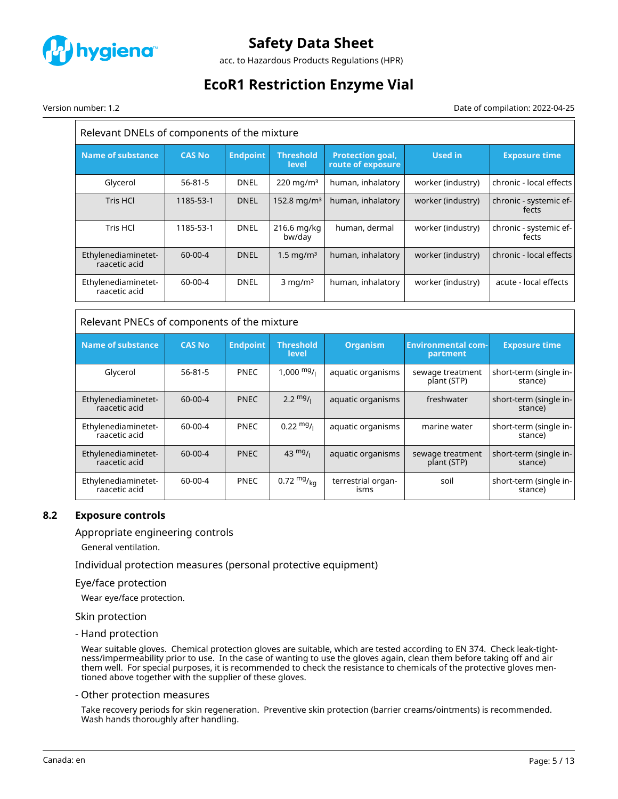

acc. to Hazardous Products Regulations (HPR)

# **EcoR1 Restriction Enzyme Vial**

Version number: 1.2 Date of compilation: 2022-04-25

| Relevant DNELs of components of the mixture |               |                 |                                  |                                              |                   |                                 |
|---------------------------------------------|---------------|-----------------|----------------------------------|----------------------------------------------|-------------------|---------------------------------|
| <b>Name of substance</b>                    | <b>CAS No</b> | <b>Endpoint</b> | <b>Threshold</b><br><b>level</b> | <b>Protection goal,</b><br>route of exposure | Used in           | <b>Exposure time</b>            |
| Glycerol                                    | $56 - 81 - 5$ | <b>DNEL</b>     | $220 \text{ mg/m}^3$             | human, inhalatory                            | worker (industry) | chronic - local effects         |
| Tris HCl                                    | 1185-53-1     | <b>DNEL</b>     | 152.8 mg/m <sup>3</sup>          | human, inhalatory                            | worker (industry) | chronic - systemic ef-<br>fects |
| Tris HCl                                    | 1185-53-1     | <b>DNEL</b>     | 216.6 mg/kg<br>bw/day            | human, dermal                                | worker (industry) | chronic - systemic ef-<br>fects |
| Ethylenediaminetet-<br>raacetic acid        | $60-00-4$     | <b>DNEL</b>     | 1.5 mg/m $3$                     | human, inhalatory                            | worker (industry) | chronic - local effects         |
| Ethylenediaminetet-<br>raacetic acid        | 60-00-4       | <b>DNEL</b>     | $3$ mg/m <sup>3</sup>            | human, inhalatory                            | worker (industry) | acute - local effects           |

| <b>Name of substance</b>             | <b>CAS No</b> | <b>Endpoint</b> | <b>Threshold</b><br>level | <b>Organism</b>            | <b>Environmental com-</b><br>partment | <b>Exposure time</b>              |
|--------------------------------------|---------------|-----------------|---------------------------|----------------------------|---------------------------------------|-----------------------------------|
| Glycerol                             | $56 - 81 - 5$ | <b>PNEC</b>     | $1,000 \frac{mg}{l}$      | aquatic organisms          | sewage treatment<br>plant (STP)       | short-term (single in-<br>stance) |
| Ethylenediaminetet-<br>raacetic acid | $60 - 00 - 4$ | <b>PNEC</b>     | $2.2 \frac{mg}{l}$        | aquatic organisms          | freshwater                            | short-term (single in-<br>stance) |
| Ethylenediaminetet-<br>raacetic acid | $60 - 00 - 4$ | <b>PNEC</b>     | $0.22 \text{ mg}$ /       | aquatic organisms          | marine water                          | short-term (single in-<br>stance) |
| Ethylenediaminetet-<br>raacetic acid | $60 - 00 - 4$ | <b>PNEC</b>     | $43 \frac{mg}{l}$         | aquatic organisms          | sewage treatment<br>plant (STP)       | short-term (single in-<br>stance) |
| Ethylenediaminetet-<br>raacetic acid | $60 - 00 - 4$ | <b>PNEC</b>     | 0.72 $mg/_{ka}$           | terrestrial organ-<br>isms | soil                                  | short-term (single in-<br>stance) |

# **8.2 Exposure controls**

### Appropriate engineering controls

General ventilation.

Individual protection measures (personal protective equipment)

#### Eye/face protection

Wear eye/face protection.

#### Skin protection

- Hand protection

Wear suitable gloves. Chemical protection gloves are suitable, which are tested according to EN 374. Check leak-tightness/impermeability prior to use. In the case of wanting to use the gloves again, clean them before taking off and air them well. For special purposes, it is recommended to check the resistance to chemicals of the protective gloves mentioned above together with the supplier of these gloves.

#### - Other protection measures

Take recovery periods for skin regeneration. Preventive skin protection (barrier creams/ointments) is recommended. Wash hands thoroughly after handling.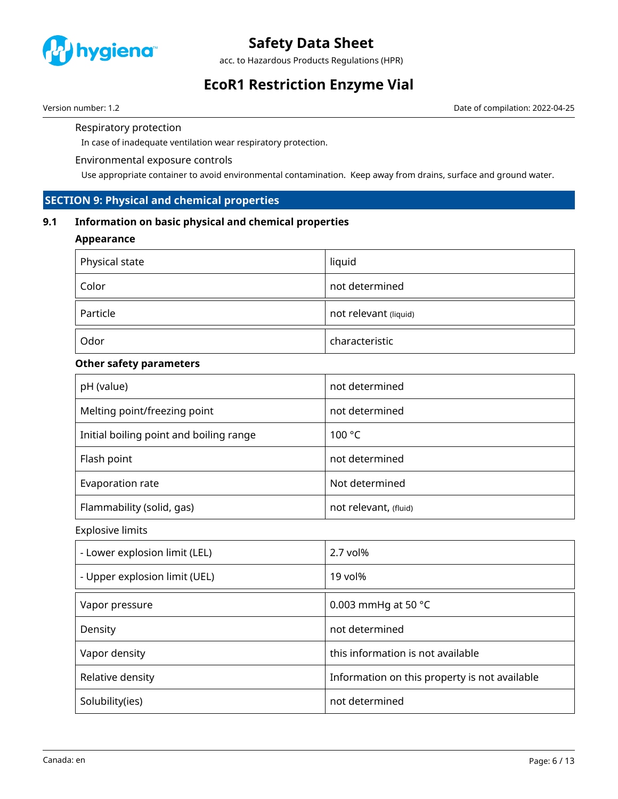

acc. to Hazardous Products Regulations (HPR)

# **EcoR1 Restriction Enzyme Vial**

Version number: 1.2 Date of compilation: 2022-04-25

Respiratory protection

In case of inadequate ventilation wear respiratory protection.

### Environmental exposure controls

Use appropriate container to avoid environmental contamination. Keep away from drains, surface and ground water.

# **SECTION 9: Physical and chemical properties**

# **9.1 Information on basic physical and chemical properties**

# **Appearance**

| Physical state | liquid                |
|----------------|-----------------------|
| Color          | not determined        |
| Particle       | not relevant (liquid) |
| Odor           | characteristic        |

# **Other safety parameters**

| pH (value)                              | not determined        |
|-----------------------------------------|-----------------------|
| Melting point/freezing point            | not determined        |
| Initial boiling point and boiling range | 100 °C                |
| Flash point                             | not determined        |
| Evaporation rate                        | Not determined        |
| Flammability (solid, gas)               | not relevant, (fluid) |

Explosive limits

| - Lower explosion limit (LEL) | $2.7$ vol%                                    |
|-------------------------------|-----------------------------------------------|
| - Upper explosion limit (UEL) | 19 vol%                                       |
| Vapor pressure                | 0.003 mmHg at 50 $^{\circ}$ C                 |
| Density                       | not determined                                |
| Vapor density                 | this information is not available             |
| Relative density              | Information on this property is not available |
| Solubility(ies)               | not determined                                |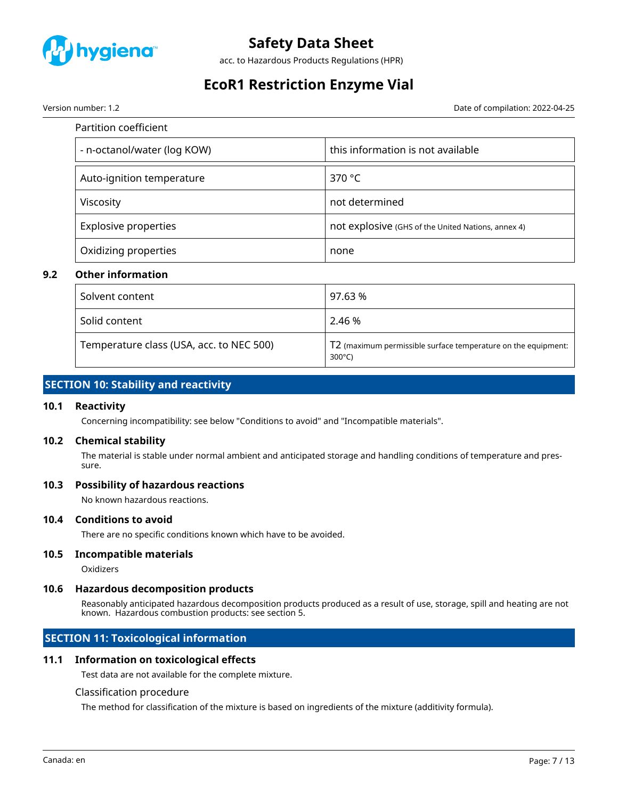

acc. to Hazardous Products Regulations (HPR)

# **EcoR1 Restriction Enzyme Vial**

Version number: 1.2 Date of compilation: 2022-04-25

| Partition coefficient       |                                                    |
|-----------------------------|----------------------------------------------------|
| - n-octanol/water (log KOW) | this information is not available                  |
| Auto-ignition temperature   | 370 $\degree$ C                                    |
| Viscosity                   | not determined                                     |
| <b>Explosive properties</b> | not explosive (GHS of the United Nations, annex 4) |
| Oxidizing properties        | none                                               |

### **9.2 Other information**

| Solvent content                          | 97.63 %                                                                           |
|------------------------------------------|-----------------------------------------------------------------------------------|
| Solid content                            | 2.46 %                                                                            |
| Temperature class (USA, acc. to NEC 500) | T2 (maximum permissible surface temperature on the equipment:<br>$300^{\circ}$ C) |

# **SECTION 10: Stability and reactivity**

### **10.1 Reactivity**

Concerning incompatibility: see below "Conditions to avoid" and "Incompatible materials".

### **10.2 Chemical stability**

The material is stable under normal ambient and anticipated storage and handling conditions of temperature and pressure.

### **10.3 Possibility of hazardous reactions**

No known hazardous reactions.

#### **10.4 Conditions to avoid**

There are no specific conditions known which have to be avoided.

### **10.5 Incompatible materials**

Oxidizers

### **10.6 Hazardous decomposition products**

Reasonably anticipated hazardous decomposition products produced as a result of use, storage, spill and heating are not known. Hazardous combustion products: see section 5.

# **SECTION 11: Toxicological information**

### **11.1 Information on toxicological effects**

Test data are not available for the complete mixture.

#### Classification procedure

The method for classification of the mixture is based on ingredients of the mixture (additivity formula).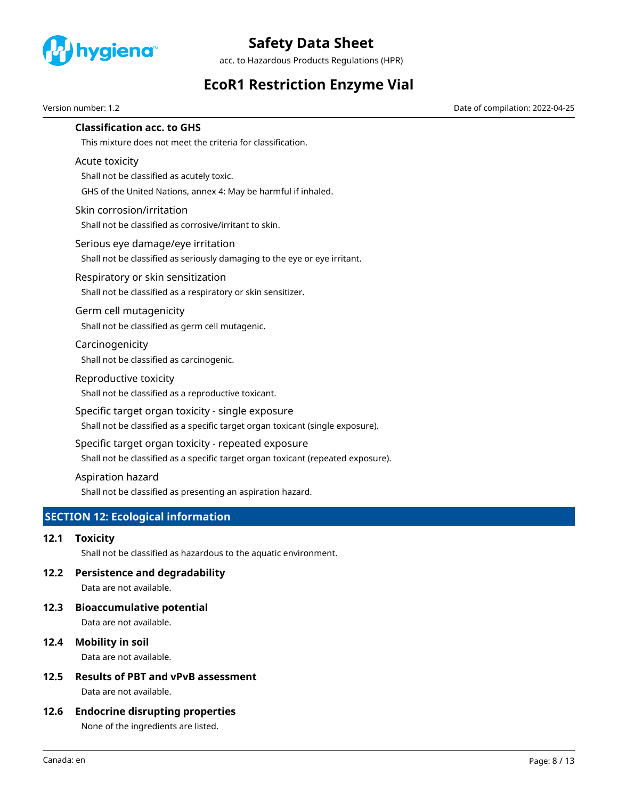

acc. to Hazardous Products Regulations (HPR)

# **EcoR1 Restriction Enzyme Vial**

Version number: 1.2 Date of compilation: 2022-04-25

# **Classification acc. to GHS**

This mixture does not meet the criteria for classification.

### Acute toxicity

Shall not be classified as acutely toxic.

GHS of the United Nations, annex 4: May be harmful if inhaled.

# Skin corrosion/irritation

Shall not be classified as corrosive/irritant to skin.

#### Serious eye damage/eye irritation

Shall not be classified as seriously damaging to the eye or eye irritant.

### Respiratory or skin sensitization

Shall not be classified as a respiratory or skin sensitizer.

#### Germ cell mutagenicity

Shall not be classified as germ cell mutagenic.

# Carcinogenicity

Shall not be classified as carcinogenic.

#### Reproductive toxicity

Shall not be classified as a reproductive toxicant.

### Specific target organ toxicity - single exposure

Shall not be classified as a specific target organ toxicant (single exposure).

### Specific target organ toxicity - repeated exposure

Shall not be classified as a specific target organ toxicant (repeated exposure).

### Aspiration hazard

Shall not be classified as presenting an aspiration hazard.

# **SECTION 12: Ecological information**

### **12.1 Toxicity**

Shall not be classified as hazardous to the aquatic environment.

### **12.2 Persistence and degradability**

Data are not available.

# **12.3 Bioaccumulative potential**

Data are not available.

# **12.4 Mobility in soil**

Data are not available.

# **12.5 Results of PBT and vPvB assessment**

Data are not available.

### **12.6 Endocrine disrupting properties**

None of the ingredients are listed.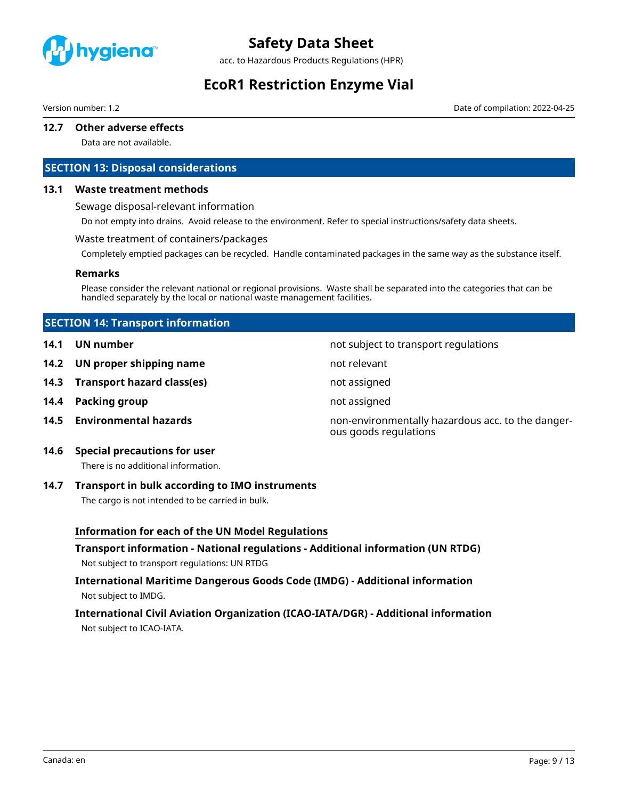

acc. to Hazardous Products Regulations (HPR)

# **EcoR1 Restriction Enzyme Vial**

Version number: 1.2 Date of compilation: 2022-04-25

### **12.7 Other adverse effects**

Data are not available.

# **SECTION 13: Disposal considerations**

#### **13.1 Waste treatment methods**

Sewage disposal-relevant information

Do not empty into drains. Avoid release to the environment. Refer to special instructions/safety data sheets.

#### Waste treatment of containers/packages

Completely emptied packages can be recycled. Handle contaminated packages in the same way as the substance itself.

#### **Remarks**

Please consider the relevant national or regional provisions. Waste shall be separated into the categories that can be handled separately by the local or national waste management facilities.

# **SECTION 14: Transport information**

- **14.1 UN number 14.1 UN** number
- **14.2 UN proper shipping name** not relevant
- **14.3 Transport hazard class(es)** not assigned
- **14.4 Packing group not assigned**
- 

- 
- 

**14.5 Environmental hazards** non-environmentally hazardous acc. to the dangerous goods regulations

# **14.6 Special precautions for user**

There is no additional information.

### **14.7 Transport in bulk according to IMO instruments**

The cargo is not intended to be carried in bulk.

### **Information for each of the UN Model Regulations**

**Transport information - National regulations - Additional information (UN RTDG)** Not subject to transport regulations: UN RTDG

# **International Maritime Dangerous Goods Code (IMDG) - Additional information** Not subject to IMDG.

# **International Civil Aviation Organization (ICAO-IATA/DGR) - Additional information** Not subject to ICAO-IATA.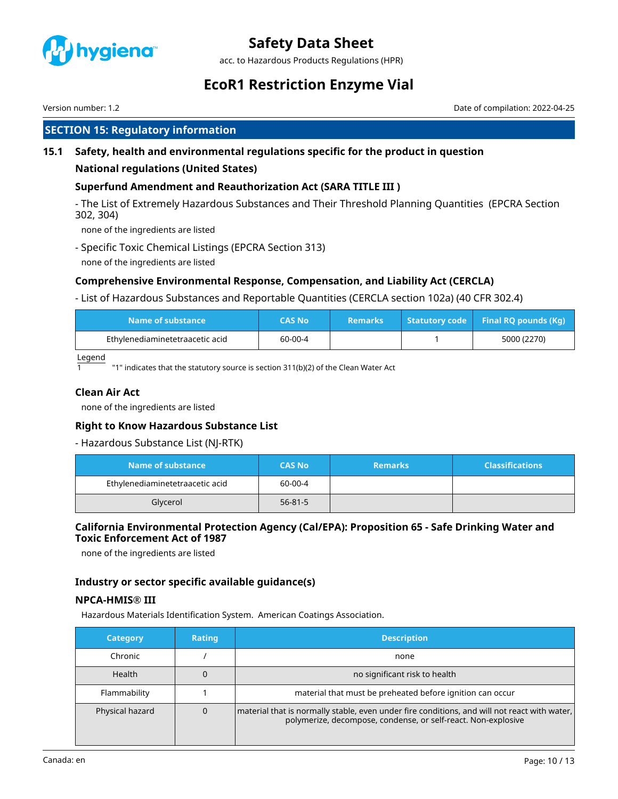

acc. to Hazardous Products Regulations (HPR)

# **EcoR1 Restriction Enzyme Vial**

Version number: 1.2 Date of compilation: 2022-04-25

# **SECTION 15: Regulatory information**

# **15.1 Safety, health and environmental regulations specific for the product in question**

# **National regulations (United States)**

# **Superfund Amendment and Reauthorization Act (SARA TITLE III )**

- The List of Extremely Hazardous Substances and Their Threshold Planning Quantities (EPCRA Section 302, 304)

none of the ingredients are listed

- Specific Toxic Chemical Listings (EPCRA Section 313) none of the ingredients are listed

# **Comprehensive Environmental Response, Compensation, and Liability Act (CERCLA)**

- List of Hazardous Substances and Reportable Quantities (CERCLA section 102a) (40 CFR 302.4)

| Name of substance               | CAS No  | <b>Remarks</b> | $\sqrt{1 + 1}$ Statutory code Final RQ pounds (Kq) |
|---------------------------------|---------|----------------|----------------------------------------------------|
| Ethylenediaminetetraacetic acid | 60-00-4 |                | 5000 (2270)                                        |

Legend

"1" indicates that the statutory source is section 311(b)(2) of the Clean Water Act

# **Clean Air Act**

none of the ingredients are listed

### **Right to Know Hazardous Substance List**

- Hazardous Substance List (NJ-RTK)

| Name of substance               | <b>CAS No</b> | <b>Remarks</b> | <b>Classifications</b> |
|---------------------------------|---------------|----------------|------------------------|
| Ethylenediaminetetraacetic acid | 60-00-4       |                |                        |
| Glycerol                        | $56 - 81 - 5$ |                |                        |

# **California Environmental Protection Agency (Cal/EPA): Proposition 65 - Safe Drinking Water and Toxic Enforcement Act of 1987**

none of the ingredients are listed

# **Industry or sector specific available guidance(s)**

# **NPCA-HMIS® III**

Hazardous Materials Identification System. American Coatings Association.

| <b>Category</b>      | <b>Rating</b> | <b>Description</b>                                                                                                                                            |
|----------------------|---------------|---------------------------------------------------------------------------------------------------------------------------------------------------------------|
| Chronic              |               | none                                                                                                                                                          |
| Health               |               | no significant risk to health                                                                                                                                 |
| Flammability         |               | material that must be preheated before ignition can occur                                                                                                     |
| Physical hazard<br>0 |               | material that is normally stable, even under fire conditions, and will not react with water,<br>polymerize, decompose, condense, or self-react. Non-explosive |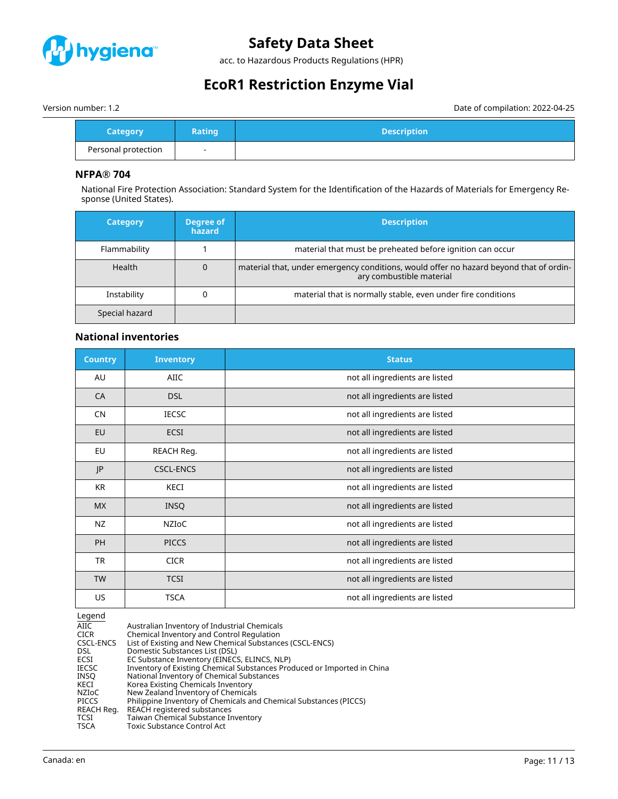

acc. to Hazardous Products Regulations (HPR)

# **EcoR1 Restriction Enzyme Vial**

Version number: 1.2 Date of compilation: 2022-04-25

| <b>Category</b>     | <b>Rating</b> | <b>Description</b> |
|---------------------|---------------|--------------------|
| Personal protection | -             |                    |

# **NFPA® 704**

National Fire Protection Association: Standard System for the Identification of the Hazards of Materials for Emergency Response (United States).

| <b>Category</b> | Degree of<br><b>hazard</b> | <b>Description</b>                                                                                                 |
|-----------------|----------------------------|--------------------------------------------------------------------------------------------------------------------|
| Flammability    |                            | material that must be preheated before ignition can occur                                                          |
| <b>Health</b>   |                            | material that, under emergency conditions, would offer no hazard beyond that of ordin-<br>ary combustible material |
| Instability     |                            | material that is normally stable, even under fire conditions                                                       |
| Special hazard  |                            |                                                                                                                    |

# **National inventories**

| <b>Country</b> | <b>Inventory</b> | <b>Status</b>                  |
|----------------|------------------|--------------------------------|
| AU             | AIIC             | not all ingredients are listed |
| CA             | <b>DSL</b>       | not all ingredients are listed |
| <b>CN</b>      | <b>IECSC</b>     | not all ingredients are listed |
| EU             | <b>ECSI</b>      | not all ingredients are listed |
| EU             | REACH Reg.       | not all ingredients are listed |
| JP             | <b>CSCL-ENCS</b> | not all ingredients are listed |
| <b>KR</b>      | KECI             | not all ingredients are listed |
| <b>MX</b>      | <b>INSQ</b>      | not all ingredients are listed |
| NZ             | NZIOC            | not all ingredients are listed |
| PH             | <b>PICCS</b>     | not all ingredients are listed |
| <b>TR</b>      | <b>CICR</b>      | not all ingredients are listed |
| <b>TW</b>      | <b>TCSI</b>      | not all ingredients are listed |
| US             | <b>TSCA</b>      | not all ingredients are listed |

Legend

| Australian Inventory of Industrial Chemicals                            |
|-------------------------------------------------------------------------|
| Chemical Inventory and Control Regulation                               |
| List of Existing and New Chemical Substances (CSCL-ENCS)                |
| Domestic Substances List (DSL)                                          |
| EC Substance Inventory (EINECS, ELINCS, NLP)                            |
| Inventory of Existing Chemical Substances Produced or Imported in China |
| National Inventory of Chemical Substances                               |
| Korea Existing Chemicals Inventory                                      |
| New Zealand Inventory of Chemicals                                      |
| Philippine Inventory of Chemicals and Chemical Substances (PICCS)       |
| REACH registered substances                                             |
| Taiwan Chemical Substance Inventory                                     |
| Toxic Substance Control Act                                             |
|                                                                         |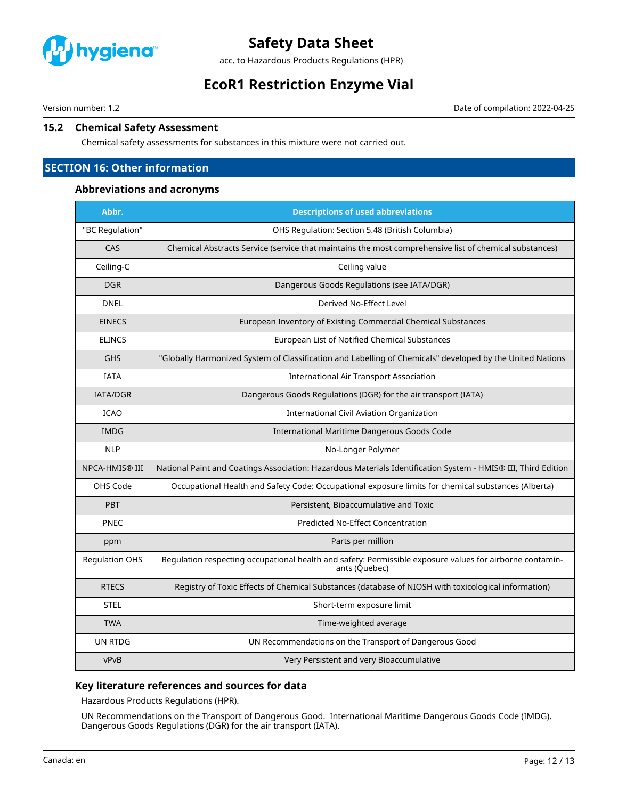

acc. to Hazardous Products Regulations (HPR)

# **EcoR1 Restriction Enzyme Vial**

Version number: 1.2 Date of compilation: 2022-04-25

# **15.2 Chemical Safety Assessment**

Chemical safety assessments for substances in this mixture were not carried out.

# **SECTION 16: Other information**

### **Abbreviations and acronyms**

| Abbr.                 | <b>Descriptions of used abbreviations</b>                                                                                 |
|-----------------------|---------------------------------------------------------------------------------------------------------------------------|
| "BC Regulation"       | OHS Regulation: Section 5.48 (British Columbia)                                                                           |
| CAS                   | Chemical Abstracts Service (service that maintains the most comprehensive list of chemical substances)                    |
| Ceiling-C             | Ceiling value                                                                                                             |
| <b>DGR</b>            | Dangerous Goods Regulations (see IATA/DGR)                                                                                |
| <b>DNEL</b>           | Derived No-Effect Level                                                                                                   |
| <b>EINECS</b>         | European Inventory of Existing Commercial Chemical Substances                                                             |
| <b>ELINCS</b>         | European List of Notified Chemical Substances                                                                             |
| <b>GHS</b>            | "Globally Harmonized System of Classification and Labelling of Chemicals" developed by the United Nations                 |
| <b>IATA</b>           | <b>International Air Transport Association</b>                                                                            |
| <b>IATA/DGR</b>       | Dangerous Goods Regulations (DGR) for the air transport (IATA)                                                            |
| <b>ICAO</b>           | International Civil Aviation Organization                                                                                 |
| <b>IMDG</b>           | International Maritime Dangerous Goods Code                                                                               |
| <b>NLP</b>            | No-Longer Polymer                                                                                                         |
| <b>NPCA-HMIS® III</b> | National Paint and Coatings Association: Hazardous Materials Identification System - HMIS® III, Third Edition             |
| OHS Code              | Occupational Health and Safety Code: Occupational exposure limits for chemical substances (Alberta)                       |
| <b>PBT</b>            | Persistent, Bioaccumulative and Toxic                                                                                     |
| PNEC                  | <b>Predicted No-Effect Concentration</b>                                                                                  |
| ppm                   | Parts per million                                                                                                         |
| <b>Regulation OHS</b> | Regulation respecting occupational health and safety: Permissible exposure values for airborne contamin-<br>ants (Quebec) |
| <b>RTECS</b>          | Registry of Toxic Effects of Chemical Substances (database of NIOSH with toxicological information)                       |
| <b>STEL</b>           | Short-term exposure limit                                                                                                 |
| <b>TWA</b>            | Time-weighted average                                                                                                     |
| UN RTDG               | UN Recommendations on the Transport of Dangerous Good                                                                     |
| vPvB                  | Very Persistent and very Bioaccumulative                                                                                  |

# **Key literature references and sources for data**

Hazardous Products Regulations (HPR).

UN Recommendations on the Transport of Dangerous Good. International Maritime Dangerous Goods Code (IMDG). Dangerous Goods Regulations (DGR) for the air transport (IATA).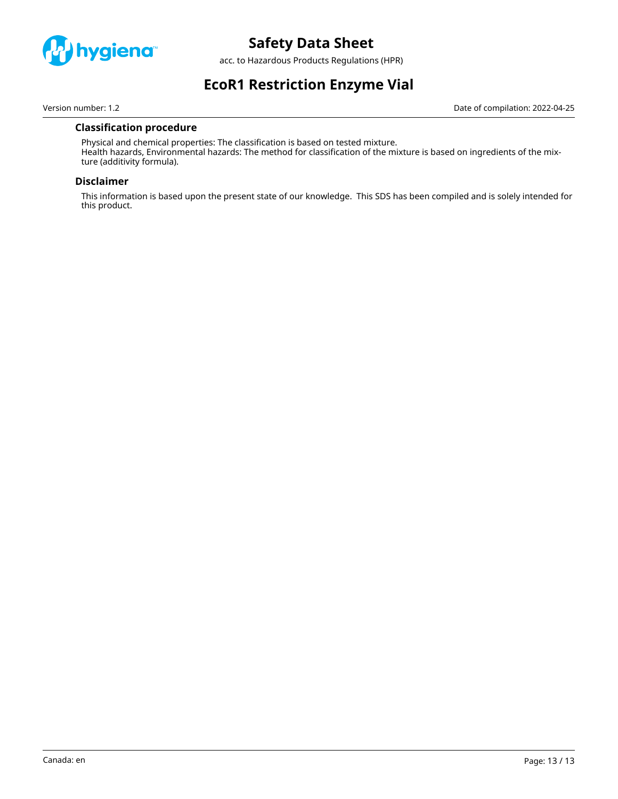

acc. to Hazardous Products Regulations (HPR)

# **EcoR1 Restriction Enzyme Vial**

Version number: 1.2 Date of compilation: 2022-04-25

# **Classification procedure**

Physical and chemical properties: The classification is based on tested mixture. Health hazards, Environmental hazards: The method for classification of the mixture is based on ingredients of the mixture (additivity formula).

#### **Disclaimer**

This information is based upon the present state of our knowledge. This SDS has been compiled and is solely intended for this product.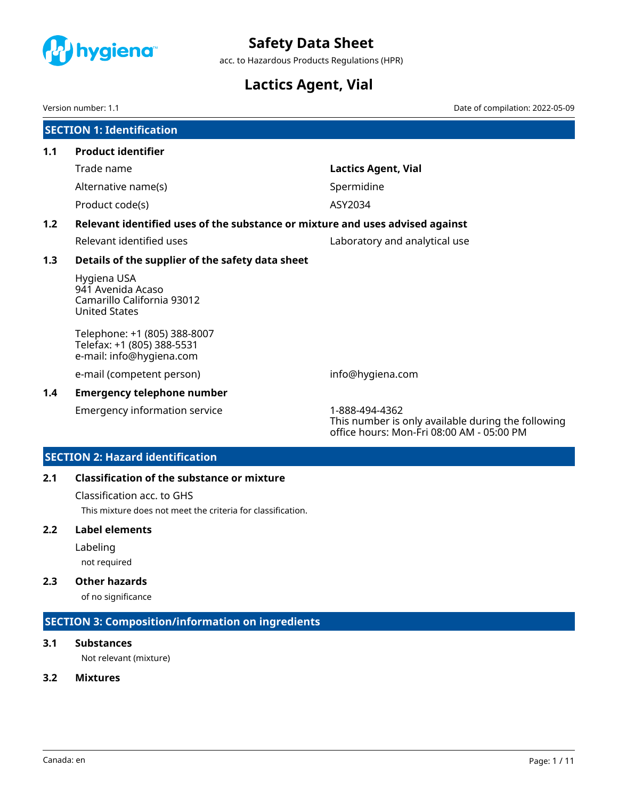<span id="page-14-0"></span>

acc. to Hazardous Products Regulations (HPR)

# **Lactics Agent, Vial**

Version number: 1.1 Date of compilation: 2022-05-09

|     | <b>SECTION 1: Identification</b>                                                       |                                                                                                                   |
|-----|----------------------------------------------------------------------------------------|-------------------------------------------------------------------------------------------------------------------|
| 1.1 | <b>Product identifier</b>                                                              |                                                                                                                   |
|     | Trade name                                                                             | <b>Lactics Agent, Vial</b>                                                                                        |
|     | Alternative name(s)                                                                    | Spermidine                                                                                                        |
|     | Product code(s)                                                                        | ASY2034                                                                                                           |
| 1.2 | Relevant identified uses of the substance or mixture and uses advised against          |                                                                                                                   |
|     | Relevant identified uses                                                               | Laboratory and analytical use                                                                                     |
| 1.3 | Details of the supplier of the safety data sheet                                       |                                                                                                                   |
|     | Hygiena USA<br>941 Avenida Acaso<br>Camarillo California 93012<br><b>United States</b> |                                                                                                                   |
|     | Telephone: +1 (805) 388-8007<br>Telefax: +1 (805) 388-5531<br>e-mail: info@hygiena.com |                                                                                                                   |
|     | e-mail (competent person)                                                              | info@hygiena.com                                                                                                  |
| 1.4 | <b>Emergency telephone number</b>                                                      |                                                                                                                   |
|     | <b>Emergency information service</b>                                                   | 1-888-494-4362<br>This number is only available during the following<br>office hours: Mon-Fri 08:00 AM - 05:00 PM |

# **SECTION 2: Hazard identification**

# **2.1 Classification of the substance or mixture**

Classification acc. to GHS

This mixture does not meet the criteria for classification.

# **2.2 Label elements**

Labeling

not required

# **2.3 Other hazards**

of no significance

# **SECTION 3: Composition/information on ingredients**

# **3.1 Substances**

Not relevant (mixture)

# **3.2 Mixtures**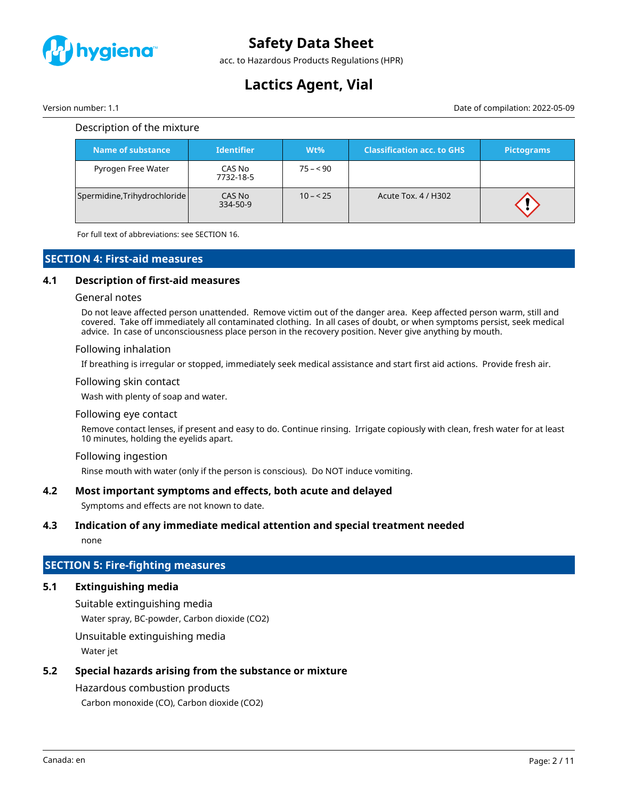

acc. to Hazardous Products Regulations (HPR)

# **Lactics Agent, Vial**

Version number: 1.1 Date of compilation: 2022-05-09

| Name of substance            | <b>Identifier</b>   | $Wt\%$    | <b>Classification acc. to GHS</b> | <b>Pictograms</b> |
|------------------------------|---------------------|-----------|-----------------------------------|-------------------|
| Pyrogen Free Water           | CAS No<br>7732-18-5 | $75 - 90$ |                                   |                   |
| Spermidine, Trihydrochloride | CAS No<br>334-50-9  | $10 - 25$ | Acute Tox. 4 / H302               |                   |

For full text of abbreviations: see SECTION 16.

# **SECTION 4: First-aid measures**

### **4.1 Description of first-aid measures**

#### General notes

Do not leave affected person unattended. Remove victim out of the danger area. Keep affected person warm, still and covered. Take off immediately all contaminated clothing. In all cases of doubt, or when symptoms persist, seek medical advice. In case of unconsciousness place person in the recovery position. Never give anything by mouth.

#### Following inhalation

If breathing is irregular or stopped, immediately seek medical assistance and start first aid actions. Provide fresh air.

#### Following skin contact

Wash with plenty of soap and water.

#### Following eye contact

Remove contact lenses, if present and easy to do. Continue rinsing. Irrigate copiously with clean, fresh water for at least 10 minutes, holding the eyelids apart.

#### Following ingestion

Rinse mouth with water (only if the person is conscious). Do NOT induce vomiting.

### **4.2 Most important symptoms and effects, both acute and delayed**

Symptoms and effects are not known to date.

# **4.3 Indication of any immediate medical attention and special treatment needed**

none

# **SECTION 5: Fire-fighting measures**

### **5.1 Extinguishing media**

Suitable extinguishing media

Water spray, BC-powder, Carbon dioxide (CO2)

Unsuitable extinguishing media

Water jet

# **5.2 Special hazards arising from the substance or mixture**

### Hazardous combustion products

Carbon monoxide (CO), Carbon dioxide (CO2)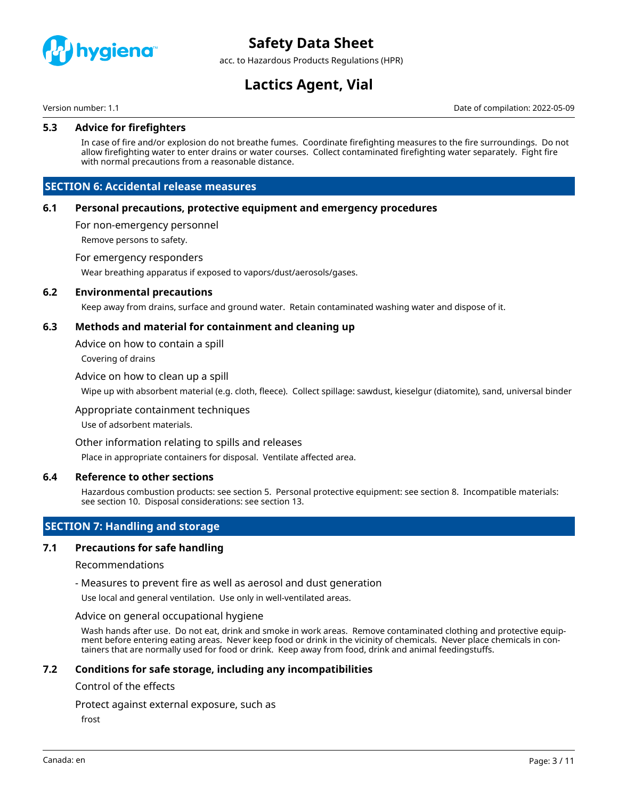

acc. to Hazardous Products Regulations (HPR)

# **Lactics Agent, Vial**

Version number: 1.1 Date of compilation: 2022-05-09

### **5.3 Advice for firefighters**

In case of fire and/or explosion do not breathe fumes. Coordinate firefighting measures to the fire surroundings. Do not allow firefighting water to enter drains or water courses. Collect contaminated firefighting water separately. Fight fire with normal precautions from a reasonable distance.

# **SECTION 6: Accidental release measures**

#### **6.1 Personal precautions, protective equipment and emergency procedures**

For non-emergency personnel

Remove persons to safety.

#### For emergency responders

Wear breathing apparatus if exposed to vapors/dust/aerosols/gases.

#### **6.2 Environmental precautions**

Keep away from drains, surface and ground water. Retain contaminated washing water and dispose of it.

### **6.3 Methods and material for containment and cleaning up**

Advice on how to contain a spill

Covering of drains

#### Advice on how to clean up a spill

Wipe up with absorbent material (e.g. cloth, fleece). Collect spillage: sawdust, kieselgur (diatomite), sand, universal binder

#### Appropriate containment techniques

Use of adsorbent materials.

#### Other information relating to spills and releases

Place in appropriate containers for disposal. Ventilate affected area.

#### **6.4 Reference to other sections**

Hazardous combustion products: see section 5. Personal protective equipment: see section 8. Incompatible materials: see section 10. Disposal considerations: see section 13.

# **SECTION 7: Handling and storage**

### **7.1 Precautions for safe handling**

#### Recommendations

- Measures to prevent fire as well as aerosol and dust generation

Use local and general ventilation. Use only in well-ventilated areas.

#### Advice on general occupational hygiene

Wash hands after use. Do not eat, drink and smoke in work areas. Remove contaminated clothing and protective equipment before entering eating areas. Never keep food or drink in the vicinity of chemicals. Never place chemicals in containers that are normally used for food or drink. Keep away from food, drink and animal feedingstuffs.

### **7.2 Conditions for safe storage, including any incompatibilities**

#### Control of the effects

Protect against external exposure, such as

frost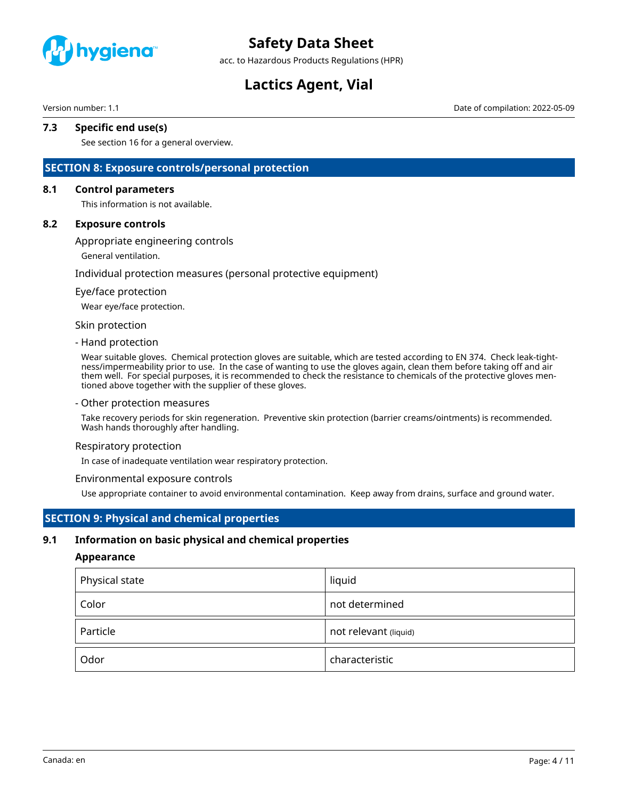

acc. to Hazardous Products Regulations (HPR)

# **Lactics Agent, Vial**

Version number: 1.1 Date of compilation: 2022-05-09

# **7.3 Specific end use(s)**

See section 16 for a general overview.

# **SECTION 8: Exposure controls/personal protection**

### **8.1 Control parameters**

This information is not available.

#### **8.2 Exposure controls**

Appropriate engineering controls

General ventilation.

#### Individual protection measures (personal protective equipment)

#### Eye/face protection

Wear eye/face protection.

#### Skin protection

#### - Hand protection

Wear suitable gloves. Chemical protection gloves are suitable, which are tested according to EN 374. Check leak-tightness/impermeability prior to use. In the case of wanting to use the gloves again, clean them before taking off and air them well. For special purposes, it is recommended to check the resistance to chemicals of the protective gloves mentioned above together with the supplier of these gloves.

#### - Other protection measures

Take recovery periods for skin regeneration. Preventive skin protection (barrier creams/ointments) is recommended. Wash hands thoroughly after handling.

#### Respiratory protection

In case of inadequate ventilation wear respiratory protection.

#### Environmental exposure controls

Use appropriate container to avoid environmental contamination. Keep away from drains, surface and ground water.

# **SECTION 9: Physical and chemical properties**

### **9.1 Information on basic physical and chemical properties**

#### **Appearance**

| Physical state | liquid                |
|----------------|-----------------------|
| Color          | not determined        |
| Particle       | not relevant (liquid) |
| Odor           | characteristic        |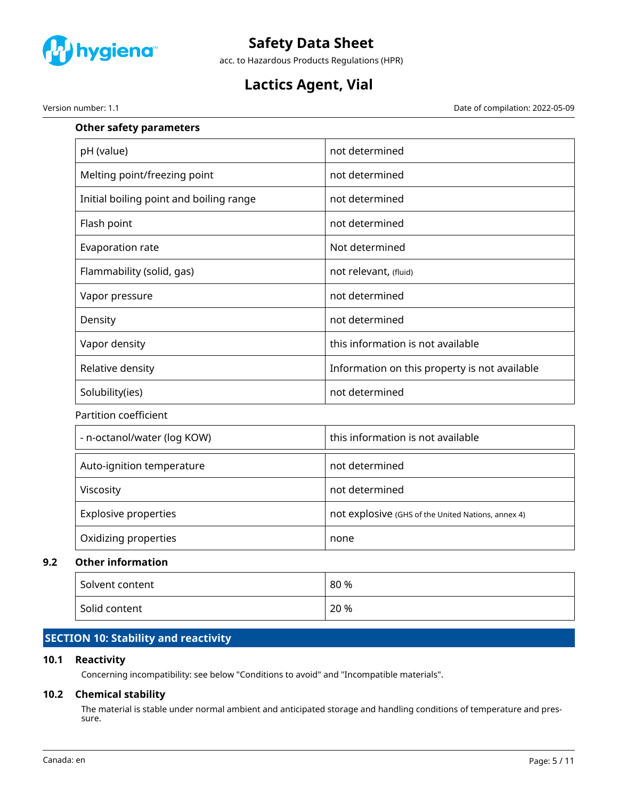

acc. to Hazardous Products Regulations (HPR)

# **Lactics Agent, Vial**

Version number: 1.1 Date of compilation: 2022-05-09

| <b>Other safety parameters</b>          |                                                    |
|-----------------------------------------|----------------------------------------------------|
| pH (value)                              | not determined                                     |
| Melting point/freezing point            | not determined                                     |
| Initial boiling point and boiling range | not determined                                     |
| Flash point                             | not determined                                     |
| Evaporation rate                        | Not determined                                     |
| Flammability (solid, gas)               | not relevant, (fluid)                              |
| Vapor pressure                          | not determined                                     |
| Density                                 | not determined                                     |
| Vapor density                           | this information is not available                  |
| Relative density                        | Information on this property is not available      |
| Solubility(ies)                         | not determined                                     |
| Partition coefficient                   |                                                    |
| - n-octanol/water (log KOW)             | this information is not available                  |
| Auto-ignition temperature               | not determined                                     |
| Viscosity                               | not determined                                     |
| <b>Explosive properties</b>             | not explosive (GHS of the United Nations, annex 4) |
| Oxidizing properties                    | none                                               |
| <b>Other information</b>                |                                                    |
| Solvent content                         | 80 %                                               |

# **SECTION 10: Stability and reactivity**

# **10.1 Reactivity**

**9.2 Other information**

Concerning incompatibility: see below "Conditions to avoid" and "Incompatible materials".

Solid content 20 %

# **10.2 Chemical stability**

The material is stable under normal ambient and anticipated storage and handling conditions of temperature and pressure.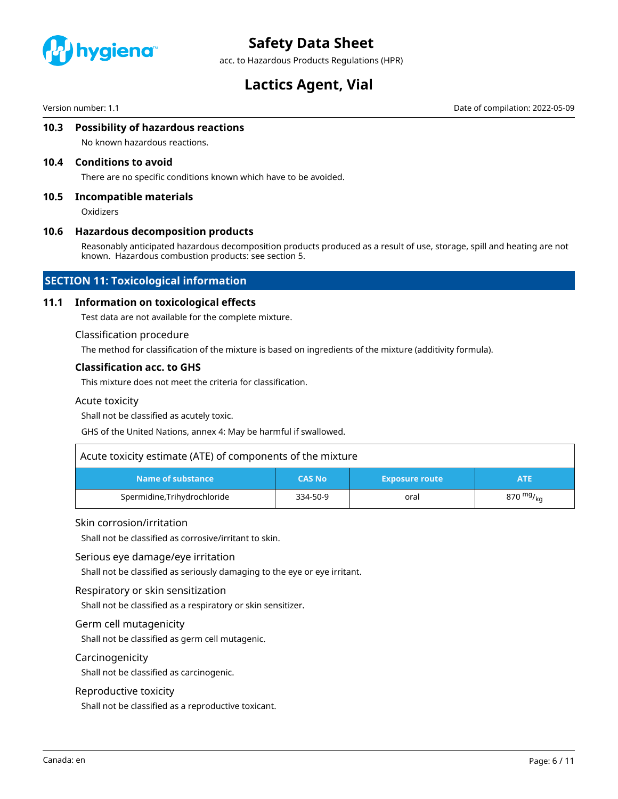

acc. to Hazardous Products Regulations (HPR)

# **Lactics Agent, Vial**

Version number: 1.1 Date of compilation: 2022-05-09

### **10.3 Possibility of hazardous reactions**

No known hazardous reactions.

#### **10.4 Conditions to avoid**

There are no specific conditions known which have to be avoided.

#### **10.5 Incompatible materials**

**Oxidizers** 

#### **10.6 Hazardous decomposition products**

Reasonably anticipated hazardous decomposition products produced as a result of use, storage, spill and heating are not known. Hazardous combustion products: see section 5.

# **SECTION 11: Toxicological information**

#### **11.1 Information on toxicological effects**

Test data are not available for the complete mixture.

#### Classification procedure

The method for classification of the mixture is based on ingredients of the mixture (additivity formula).

#### **Classification acc. to GHS**

This mixture does not meet the criteria for classification.

#### Acute toxicity

Shall not be classified as acutely toxic.

GHS of the United Nations, annex 4: May be harmful if swallowed.

| Acute toxicity estimate (ATE) of components of the mixture |               |                       |                |
|------------------------------------------------------------|---------------|-----------------------|----------------|
| Name of substance                                          | <b>CAS No</b> | <b>Exposure route</b> | ATE.           |
| Spermidine, Trihydrochloride                               | 334-50-9      | oral                  | 870 $mg/_{kq}$ |

#### Skin corrosion/irritation

Shall not be classified as corrosive/irritant to skin.

#### Serious eye damage/eye irritation

Shall not be classified as seriously damaging to the eye or eye irritant.

#### Respiratory or skin sensitization

Shall not be classified as a respiratory or skin sensitizer.

#### Germ cell mutagenicity

Shall not be classified as germ cell mutagenic.

#### Carcinogenicity

Shall not be classified as carcinogenic.

#### Reproductive toxicity

Shall not be classified as a reproductive toxicant.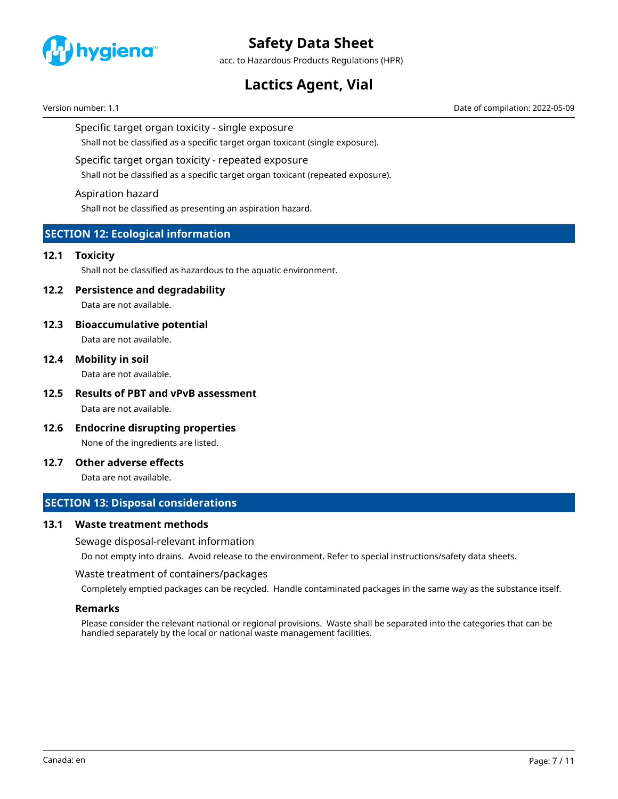

acc. to Hazardous Products Regulations (HPR)

# **Lactics Agent, Vial**

Version number: 1.1 Date of compilation: 2022-05-09

### Specific target organ toxicity - single exposure

Shall not be classified as a specific target organ toxicant (single exposure).

# Specific target organ toxicity - repeated exposure

Shall not be classified as a specific target organ toxicant (repeated exposure).

#### Aspiration hazard

Shall not be classified as presenting an aspiration hazard.

# **SECTION 12: Ecological information**

### **12.1 Toxicity**

Shall not be classified as hazardous to the aquatic environment.

### **12.2 Persistence and degradability**

Data are not available.

# **12.3 Bioaccumulative potential**

Data are not available.

**12.4 Mobility in soil**

Data are not available.

- **12.5 Results of PBT and vPvB assessment** Data are not available.
- **12.6 Endocrine disrupting properties** None of the ingredients are listed.

### **12.7 Other adverse effects**

Data are not available.

# **SECTION 13: Disposal considerations**

### **13.1 Waste treatment methods**

#### Sewage disposal-relevant information

Do not empty into drains. Avoid release to the environment. Refer to special instructions/safety data sheets.

#### Waste treatment of containers/packages

Completely emptied packages can be recycled. Handle contaminated packages in the same way as the substance itself.

### **Remarks**

Please consider the relevant national or regional provisions. Waste shall be separated into the categories that can be handled separately by the local or national waste management facilities.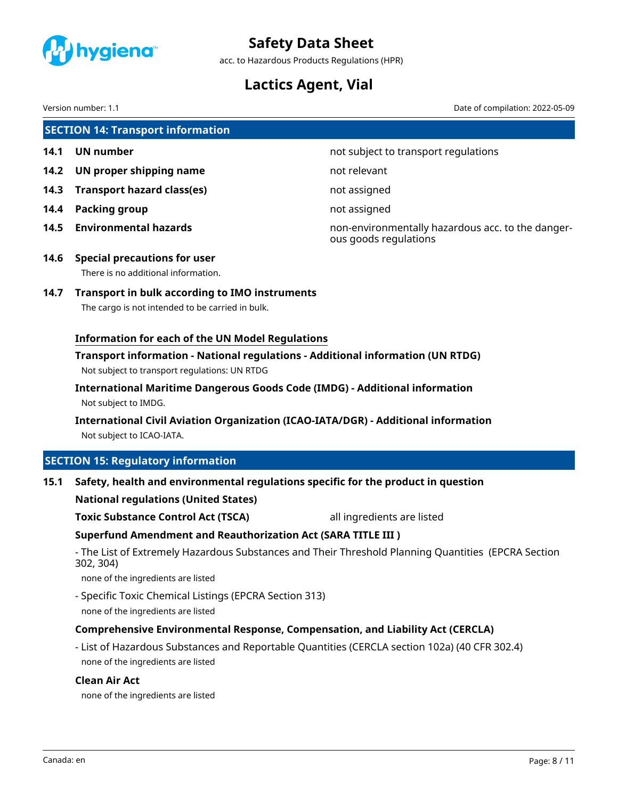

acc. to Hazardous Products Regulations (HPR)

# **Lactics Agent, Vial**

Version number: 1.1 Date of compilation: 2022-05-09

|      | <b>SECTION 14: Transport information</b>                                                                                         |                                                                            |
|------|----------------------------------------------------------------------------------------------------------------------------------|----------------------------------------------------------------------------|
| 14.1 | <b>UN number</b>                                                                                                                 | not subject to transport regulations                                       |
| 14.2 | UN proper shipping name                                                                                                          | not relevant                                                               |
| 14.3 | <b>Transport hazard class(es)</b>                                                                                                | not assigned                                                               |
| 14.4 | <b>Packing group</b>                                                                                                             | not assigned                                                               |
| 14.5 | <b>Environmental hazards</b>                                                                                                     | non-environmentally hazardous acc. to the danger-<br>ous goods regulations |
| 14.6 | <b>Special precautions for user</b><br>There is no additional information.                                                       |                                                                            |
| 14.7 | <b>Transport in bulk according to IMO instruments</b><br>The cargo is not intended to be carried in bulk.                        |                                                                            |
|      | <b>Information for each of the UN Model Regulations</b>                                                                          |                                                                            |
|      | Transport information - National regulations - Additional information (UN RTDG)<br>Not subject to transport regulations: UN RTDG |                                                                            |
|      | International Maritime Dangerous Goods Code (IMDG) - Additional information<br>Not subject to IMDG.                              |                                                                            |
|      | International Civil Aviation Organization (ICAO-IATA/DGR) - Additional information<br>Not subject to ICAO-IATA.                  |                                                                            |
|      | <b>SECTION 15: Regulatory information</b>                                                                                        |                                                                            |
| 15.1 | Safety, health and environmental regulations specific for the product in question                                                |                                                                            |
|      | <b>National regulations (United States)</b>                                                                                      |                                                                            |
|      | <b>Toxic Substance Control Act (TSCA)</b>                                                                                        | all ingredients are listed                                                 |
|      | <b>Superfund Amendment and Reauthorization Act (SARA TITLE III)</b>                                                              |                                                                            |
|      | - The List of Extremely Hazardous Substances and Their Threshold Planning Quantities (EPCRA Section                              |                                                                            |

- The List of Extremely Hazardous Substances and Their Threshold Planning Quantities (EPCRA Section 302, 304)

none of the ingredients are listed

- Specific Toxic Chemical Listings (EPCRA Section 313) none of the ingredients are listed

# **Comprehensive Environmental Response, Compensation, and Liability Act (CERCLA)**

- List of Hazardous Substances and Reportable Quantities (CERCLA section 102a) (40 CFR 302.4) none of the ingredients are listed

# **Clean Air Act**

none of the ingredients are listed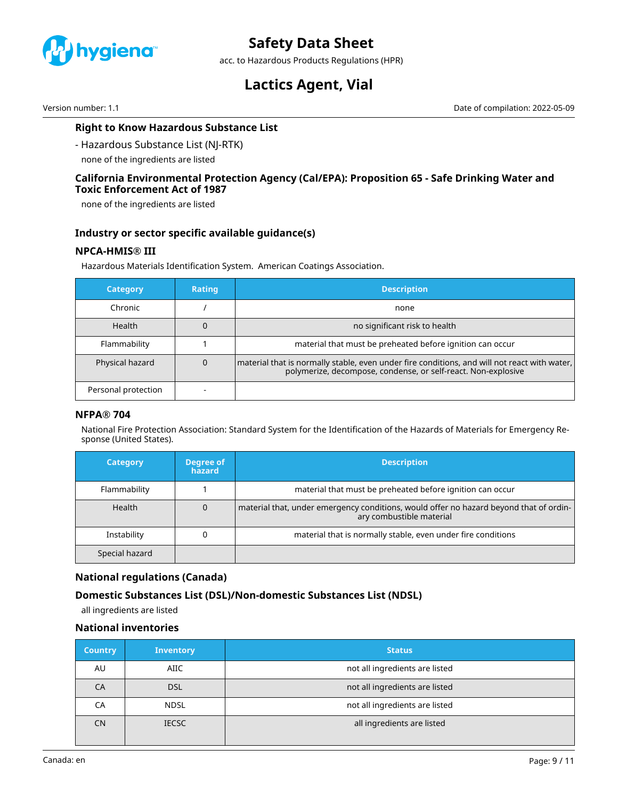

acc. to Hazardous Products Regulations (HPR)

# **Lactics Agent, Vial**

Version number: 1.1 Date of compilation: 2022-05-09

# **Right to Know Hazardous Substance List**

- Hazardous Substance List (NJ-RTK)

none of the ingredients are listed

### **California Environmental Protection Agency (Cal/EPA): Proposition 65 - Safe Drinking Water and Toxic Enforcement Act of 1987**

none of the ingredients are listed

### **Industry or sector specific available guidance(s)**

# **NPCA-HMIS® III**

Hazardous Materials Identification System. American Coatings Association.

| <b>Category</b>     | <b>Rating</b> | <b>Description</b>                                                                                                                                            |
|---------------------|---------------|---------------------------------------------------------------------------------------------------------------------------------------------------------------|
| Chronic             |               | none                                                                                                                                                          |
| <b>Health</b>       |               | no significant risk to health                                                                                                                                 |
| Flammability        |               | material that must be preheated before ignition can occur                                                                                                     |
| Physical hazard     |               | material that is normally stable, even under fire conditions, and will not react with water,<br>polymerize, decompose, condense, or self-react. Non-explosive |
| Personal protection |               |                                                                                                                                                               |

### **NFPA® 704**

National Fire Protection Association: Standard System for the Identification of the Hazards of Materials for Emergency Response (United States).

| <b>Category</b> | Degree of<br>hazard | <b>Description</b>                                                                                                 |
|-----------------|---------------------|--------------------------------------------------------------------------------------------------------------------|
| Flammability    |                     | material that must be preheated before ignition can occur                                                          |
| <b>Health</b>   | 0                   | material that, under emergency conditions, would offer no hazard beyond that of ordin-<br>ary combustible material |
| Instability     |                     | material that is normally stable, even under fire conditions                                                       |
| Special hazard  |                     |                                                                                                                    |

### **National regulations (Canada)**

# **Domestic Substances List (DSL)/Non-domestic Substances List (NDSL)**

all ingredients are listed

# **National inventories**

| <b>Country</b> | <b>Inventory</b> | <b>Status</b>                  |
|----------------|------------------|--------------------------------|
| AU             | AIIC             | not all ingredients are listed |
| CA             | <b>DSL</b>       | not all ingredients are listed |
| СA             | <b>NDSL</b>      | not all ingredients are listed |
| <b>CN</b>      | <b>IECSC</b>     | all ingredients are listed     |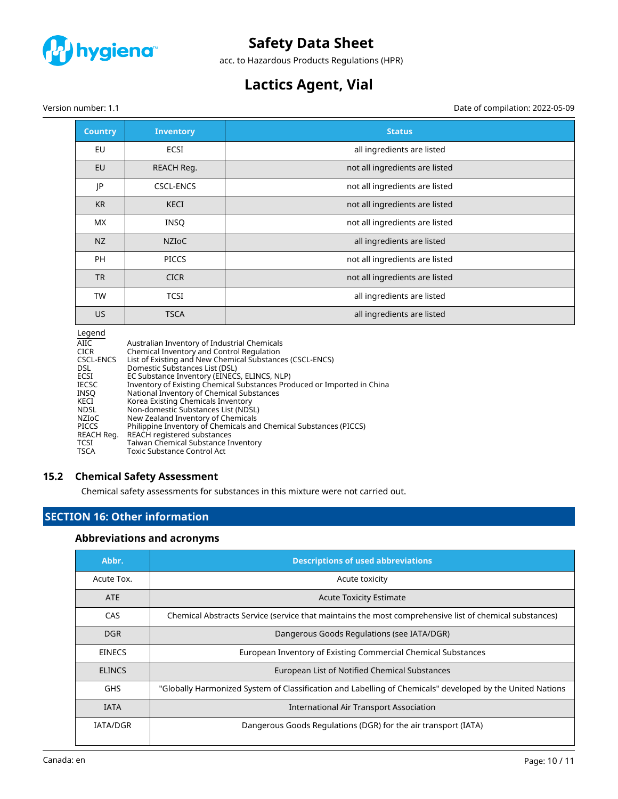

acc. to Hazardous Products Regulations (HPR)

# **Lactics Agent, Vial**

Version number: 1.1 Date of compilation: 2022-05-09

| <b>Country</b> | <b>Inventory</b> | <b>Status</b>                  |
|----------------|------------------|--------------------------------|
| EU             | <b>ECSI</b>      | all ingredients are listed     |
| EU             | REACH Req.       | not all ingredients are listed |
| JP             | <b>CSCL-ENCS</b> | not all ingredients are listed |
| <b>KR</b>      | <b>KECI</b>      | not all ingredients are listed |
| <b>MX</b>      | <b>INSQ</b>      | not all ingredients are listed |
| NZ             | <b>NZIOC</b>     | all ingredients are listed     |
| <b>PH</b>      | <b>PICCS</b>     | not all ingredients are listed |
| <b>TR</b>      | <b>CICR</b>      | not all ingredients are listed |
| <b>TW</b>      | <b>TCSI</b>      | all ingredients are listed     |
| US.            | <b>TSCA</b>      | all ingredients are listed     |

| Legend       |                                                                         |
|--------------|-------------------------------------------------------------------------|
| AIIC         | Australian Inventory of Industrial Chemicals                            |
| <b>CICR</b>  | Chemical Inventory and Control Regulation                               |
| CSCL-ENCS    | List of Existing and New Chemical Substances (CSCL-ENCS)                |
| DSL          | Domestic Substances List (DSL)                                          |
| ECSI         | EC Substance Inventory (EINECS, ELINCS, NLP)                            |
| <b>IECSC</b> | Inventory of Existing Chemical Substances Produced or Imported in China |
| INSO         | National Inventory of Chemical Substances                               |
| KECI         | Korea Existing Chemicals Inventory                                      |
| <b>NDSL</b>  | Non-domestic Substances List (NDSL)                                     |
| <b>NZIOC</b> | New Zealand Inventory of Chemicals                                      |
| <b>PICCS</b> | Philippine Inventory of Chemicals and Chemical Substances (PICCS)       |
| REACH Reg.   | REACH registered substances                                             |
| <b>TCSI</b>  | Taiwan Chemical Substance Inventory                                     |
| <b>TSCA</b>  | Toxic Substance Control Act                                             |

# **15.2 Chemical Safety Assessment**

Chemical safety assessments for substances in this mixture were not carried out.

# **SECTION 16: Other information**

# **Abbreviations and acronyms**

| Abbr.           | <b>Descriptions of used abbreviations</b>                                                                 |
|-----------------|-----------------------------------------------------------------------------------------------------------|
| Acute Tox.      | Acute toxicity                                                                                            |
| <b>ATE</b>      | <b>Acute Toxicity Estimate</b>                                                                            |
| <b>CAS</b>      | Chemical Abstracts Service (service that maintains the most comprehensive list of chemical substances)    |
| <b>DGR</b>      | Dangerous Goods Regulations (see IATA/DGR)                                                                |
| <b>EINECS</b>   | European Inventory of Existing Commercial Chemical Substances                                             |
| <b>ELINCS</b>   | European List of Notified Chemical Substances                                                             |
| <b>GHS</b>      | "Globally Harmonized System of Classification and Labelling of Chemicals" developed by the United Nations |
| <b>IATA</b>     | International Air Transport Association                                                                   |
| <b>IATA/DGR</b> | Dangerous Goods Regulations (DGR) for the air transport (IATA)                                            |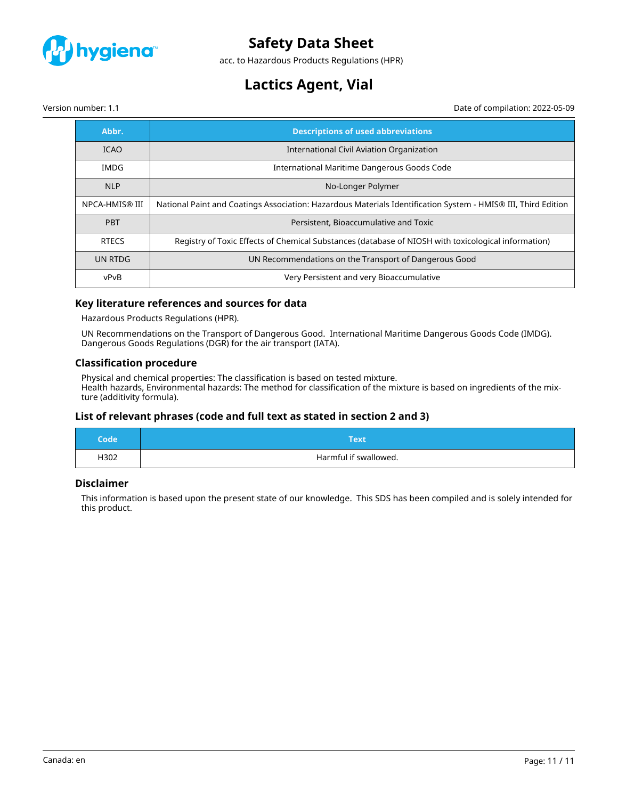

acc. to Hazardous Products Regulations (HPR)

# **Lactics Agent, Vial**

Version number: 1.1 Date of compilation: 2022-05-09

| Abbr.          | <b>Descriptions of used abbreviations</b>                                                                     |
|----------------|---------------------------------------------------------------------------------------------------------------|
| <b>ICAO</b>    | International Civil Aviation Organization                                                                     |
| IMDG           | International Maritime Dangerous Goods Code                                                                   |
| <b>NLP</b>     | No-Longer Polymer                                                                                             |
| NPCA-HMIS® III | National Paint and Coatings Association: Hazardous Materials Identification System - HMIS® III, Third Edition |
| <b>PBT</b>     | Persistent, Bioaccumulative and Toxic                                                                         |
| <b>RTECS</b>   | Registry of Toxic Effects of Chemical Substances (database of NIOSH with toxicological information)           |
| UN RTDG        | UN Recommendations on the Transport of Dangerous Good                                                         |
| vPvB           | Very Persistent and very Bioaccumulative                                                                      |

# **Key literature references and sources for data**

Hazardous Products Regulations (HPR).

UN Recommendations on the Transport of Dangerous Good. International Maritime Dangerous Goods Code (IMDG). Dangerous Goods Regulations (DGR) for the air transport (IATA).

#### **Classification procedure**

Physical and chemical properties: The classification is based on tested mixture. Health hazards, Environmental hazards: The method for classification of the mixture is based on ingredients of the mixture (additivity formula).

# **List of relevant phrases (code and full text as stated in section 2 and 3)**

| Code | Text                  |
|------|-----------------------|
| H302 | Harmful if swallowed. |

### **Disclaimer**

This information is based upon the present state of our knowledge. This SDS has been compiled and is solely intended for this product.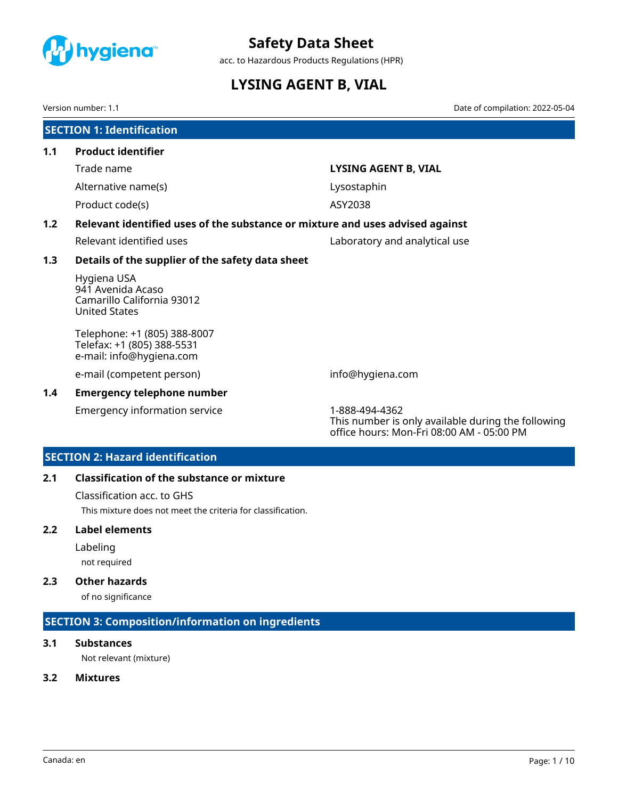<span id="page-25-0"></span>

acc. to Hazardous Products Regulations (HPR)

# **LYSING AGENT B, VIAL**

Version number: 1.1 Date of compilation: 2022-05-04

|     | <b>SECTION 1: Identification</b>                                                       |                                                                                                                   |  |  |
|-----|----------------------------------------------------------------------------------------|-------------------------------------------------------------------------------------------------------------------|--|--|
| 1.1 | <b>Product identifier</b>                                                              |                                                                                                                   |  |  |
|     | Trade name                                                                             | <b>LYSING AGENT B, VIAL</b>                                                                                       |  |  |
|     | Alternative name(s)                                                                    | Lysostaphin                                                                                                       |  |  |
|     | Product code(s)                                                                        | ASY2038                                                                                                           |  |  |
| 1.2 | Relevant identified uses of the substance or mixture and uses advised against          |                                                                                                                   |  |  |
|     | Relevant identified uses                                                               | Laboratory and analytical use                                                                                     |  |  |
| 1.3 | Details of the supplier of the safety data sheet                                       |                                                                                                                   |  |  |
|     | Hygiena USA<br>941 Avenida Acaso<br>Camarillo California 93012<br><b>United States</b> |                                                                                                                   |  |  |
|     | Telephone: +1 (805) 388-8007<br>Telefax: +1 (805) 388-5531<br>e-mail: info@hygiena.com |                                                                                                                   |  |  |
|     | e-mail (competent person)                                                              | info@hygiena.com                                                                                                  |  |  |
| 1.4 | <b>Emergency telephone number</b>                                                      |                                                                                                                   |  |  |
|     | Emergency information service                                                          | 1-888-494-4362<br>This number is only available during the following<br>office hours: Mon-Fri 08:00 AM - 05:00 PM |  |  |

# **SECTION 2: Hazard identification**

# **2.1 Classification of the substance or mixture**

Classification acc. to GHS

This mixture does not meet the criteria for classification.

### **2.2 Label elements**

Labeling

not required

# **2.3 Other hazards**

of no significance

# **SECTION 3: Composition/information on ingredients**

# **3.1 Substances**

Not relevant (mixture)

# **3.2 Mixtures**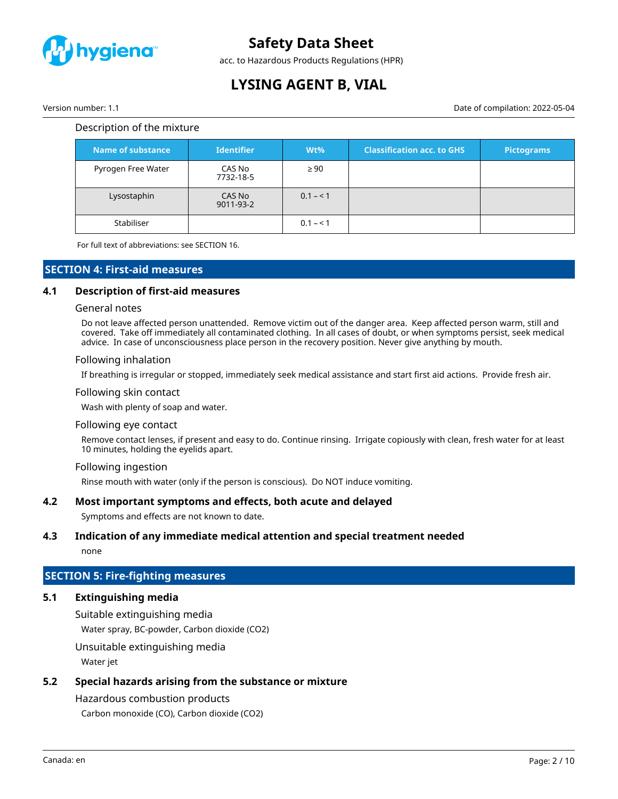

acc. to Hazardous Products Regulations (HPR)

# **LYSING AGENT B, VIAL**

Version number: 1.1 Date of compilation: 2022-05-04

### Description of the mixture

| Name of substance  | <b>Identifier</b>   | $Wt\%$    | <b>Classification acc. to GHS</b> | <b>Pictograms</b> |
|--------------------|---------------------|-----------|-----------------------------------|-------------------|
| Pyrogen Free Water | CAS No<br>7732-18-5 | $\geq 90$ |                                   |                   |
| Lysostaphin        | CAS No<br>9011-93-2 | $0.1 - 1$ |                                   |                   |
| Stabiliser         |                     | $0.1 - 1$ |                                   |                   |

For full text of abbreviations: see SECTION 16.

# **SECTION 4: First-aid measures**

#### **4.1 Description of first-aid measures**

#### General notes

Do not leave affected person unattended. Remove victim out of the danger area. Keep affected person warm, still and covered. Take off immediately all contaminated clothing. In all cases of doubt, or when symptoms persist, seek medical advice. In case of unconsciousness place person in the recovery position. Never give anything by mouth.

#### Following inhalation

If breathing is irregular or stopped, immediately seek medical assistance and start first aid actions. Provide fresh air.

#### Following skin contact

Wash with plenty of soap and water.

#### Following eye contact

Remove contact lenses, if present and easy to do. Continue rinsing. Irrigate copiously with clean, fresh water for at least 10 minutes, holding the eyelids apart.

#### Following ingestion

Rinse mouth with water (only if the person is conscious). Do NOT induce vomiting.

### **4.2 Most important symptoms and effects, both acute and delayed**

Symptoms and effects are not known to date.

#### **4.3 Indication of any immediate medical attention and special treatment needed**

none

### **SECTION 5: Fire-fighting measures**

# **5.1 Extinguishing media**

Suitable extinguishing media

Water spray, BC-powder, Carbon dioxide (CO2)

Unsuitable extinguishing media

Water jet

# **5.2 Special hazards arising from the substance or mixture**

# Hazardous combustion products

Carbon monoxide (CO), Carbon dioxide (CO2)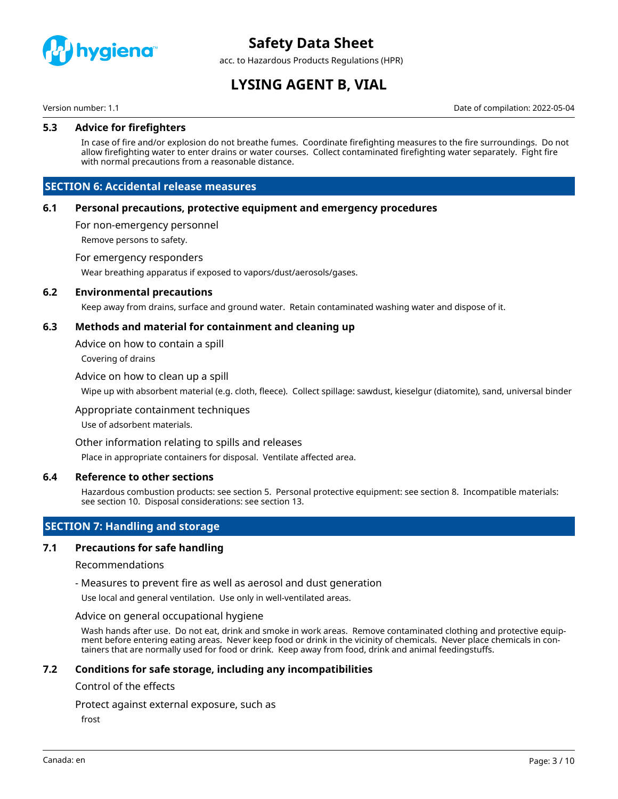

acc. to Hazardous Products Regulations (HPR)

# **LYSING AGENT B, VIAL**

Version number: 1.1 Date of compilation: 2022-05-04

### **5.3 Advice for firefighters**

In case of fire and/or explosion do not breathe fumes. Coordinate firefighting measures to the fire surroundings. Do not allow firefighting water to enter drains or water courses. Collect contaminated firefighting water separately. Fight fire with normal precautions from a reasonable distance.

# **SECTION 6: Accidental release measures**

#### **6.1 Personal precautions, protective equipment and emergency procedures**

For non-emergency personnel

Remove persons to safety.

#### For emergency responders

Wear breathing apparatus if exposed to vapors/dust/aerosols/gases.

#### **6.2 Environmental precautions**

Keep away from drains, surface and ground water. Retain contaminated washing water and dispose of it.

### **6.3 Methods and material for containment and cleaning up**

Advice on how to contain a spill

Covering of drains

#### Advice on how to clean up a spill

Wipe up with absorbent material (e.g. cloth, fleece). Collect spillage: sawdust, kieselgur (diatomite), sand, universal binder

#### Appropriate containment techniques

Use of adsorbent materials.

#### Other information relating to spills and releases

Place in appropriate containers for disposal. Ventilate affected area.

#### **6.4 Reference to other sections**

Hazardous combustion products: see section 5. Personal protective equipment: see section 8. Incompatible materials: see section 10. Disposal considerations: see section 13.

# **SECTION 7: Handling and storage**

#### **7.1 Precautions for safe handling**

#### Recommendations

- Measures to prevent fire as well as aerosol and dust generation

Use local and general ventilation. Use only in well-ventilated areas.

#### Advice on general occupational hygiene

Wash hands after use. Do not eat, drink and smoke in work areas. Remove contaminated clothing and protective equipment before entering eating areas. Never keep food or drink in the vicinity of chemicals. Never place chemicals in containers that are normally used for food or drink. Keep away from food, drink and animal feedingstuffs.

#### **7.2 Conditions for safe storage, including any incompatibilities**

#### Control of the effects

Protect against external exposure, such as

frost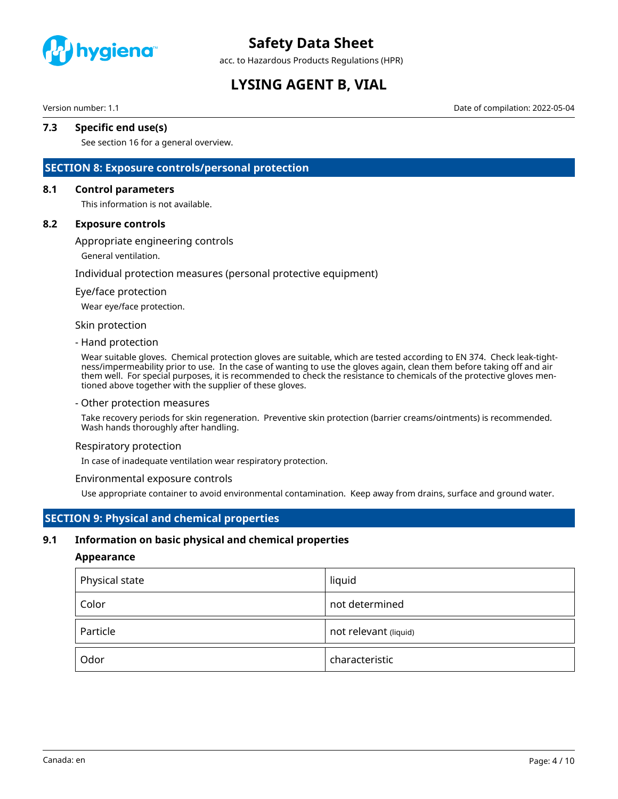

acc. to Hazardous Products Regulations (HPR)

# **LYSING AGENT B, VIAL**

Version number: 1.1 Date of compilation: 2022-05-04

# **7.3 Specific end use(s)**

See section 16 for a general overview.

# **SECTION 8: Exposure controls/personal protection**

#### **8.1 Control parameters**

This information is not available.

#### **8.2 Exposure controls**

Appropriate engineering controls

General ventilation.

#### Individual protection measures (personal protective equipment)

#### Eye/face protection

Wear eye/face protection.

#### Skin protection

#### - Hand protection

Wear suitable gloves. Chemical protection gloves are suitable, which are tested according to EN 374. Check leak-tightness/impermeability prior to use. In the case of wanting to use the gloves again, clean them before taking off and air them well. For special purposes, it is recommended to check the resistance to chemicals of the protective gloves mentioned above together with the supplier of these gloves.

#### - Other protection measures

Take recovery periods for skin regeneration. Preventive skin protection (barrier creams/ointments) is recommended. Wash hands thoroughly after handling.

#### Respiratory protection

In case of inadequate ventilation wear respiratory protection.

#### Environmental exposure controls

Use appropriate container to avoid environmental contamination. Keep away from drains, surface and ground water.

# **SECTION 9: Physical and chemical properties**

#### **9.1 Information on basic physical and chemical properties**

#### **Appearance**

| Physical state | liquid                |
|----------------|-----------------------|
| Color          | not determined        |
| Particle       | not relevant (liquid) |
| Odor           | characteristic        |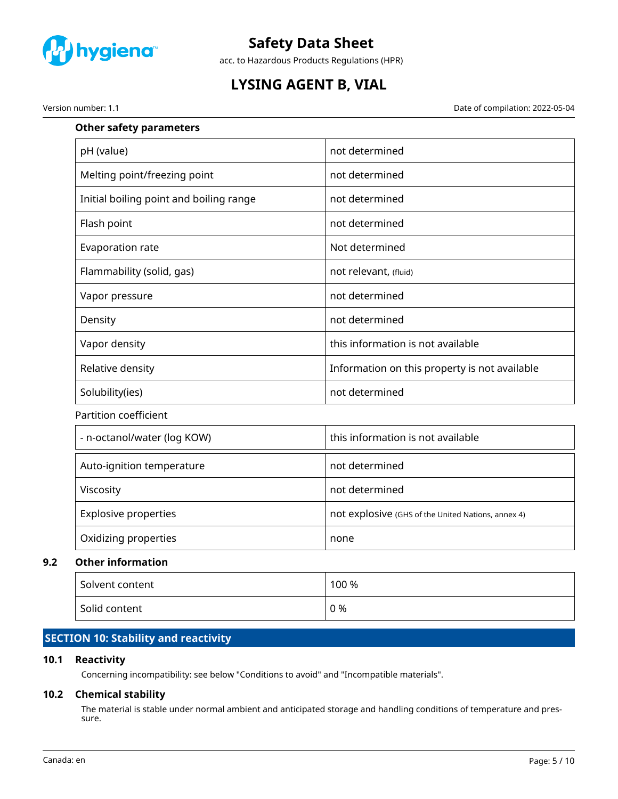

acc. to Hazardous Products Regulations (HPR)

# **LYSING AGENT B, VIAL**

Version number: 1.1 Date of compilation: 2022-05-04

| not determined                                     |
|----------------------------------------------------|
| not determined                                     |
| not determined                                     |
| not determined                                     |
| Not determined                                     |
| not relevant, (fluid)                              |
| not determined                                     |
| not determined                                     |
| this information is not available                  |
| Information on this property is not available      |
| not determined                                     |
|                                                    |
| this information is not available                  |
| not determined                                     |
| not determined                                     |
| not explosive (GHS of the United Nations, annex 4) |
| none                                               |
|                                                    |
|                                                    |

# Solvent content 100 % Solid content  $\begin{array}{ccc} \vert & 0 \end{array}$

# **SECTION 10: Stability and reactivity**

# **10.1 Reactivity**

Concerning incompatibility: see below "Conditions to avoid" and "Incompatible materials".

# **10.2 Chemical stability**

The material is stable under normal ambient and anticipated storage and handling conditions of temperature and pressure.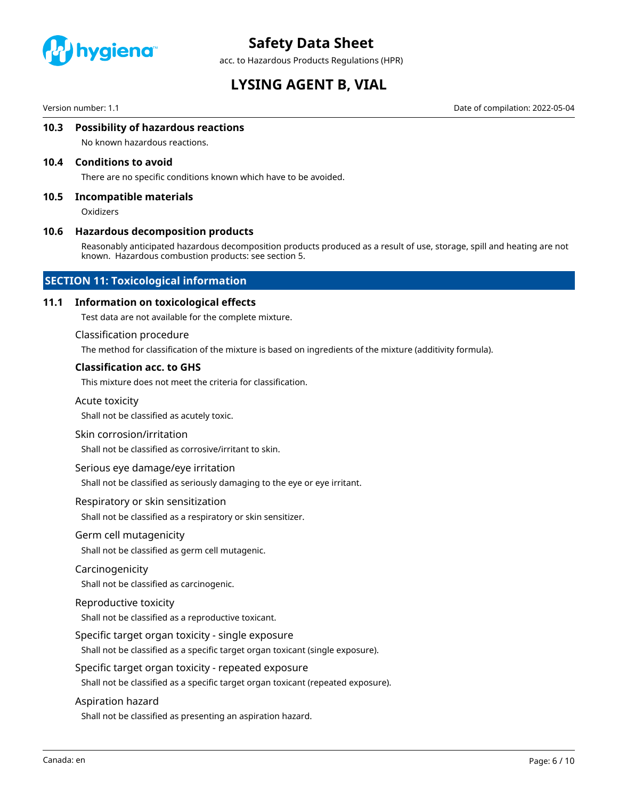

acc. to Hazardous Products Regulations (HPR)

# **LYSING AGENT B, VIAL**

Version number: 1.1 Date of compilation: 2022-05-04

### **10.3 Possibility of hazardous reactions**

No known hazardous reactions.

#### **10.4 Conditions to avoid**

There are no specific conditions known which have to be avoided.

#### **10.5 Incompatible materials**

**Oxidizers** 

#### **10.6 Hazardous decomposition products**

Reasonably anticipated hazardous decomposition products produced as a result of use, storage, spill and heating are not known. Hazardous combustion products: see section 5.

### **SECTION 11: Toxicological information**

#### **11.1 Information on toxicological effects**

Test data are not available for the complete mixture.

#### Classification procedure

The method for classification of the mixture is based on ingredients of the mixture (additivity formula).

#### **Classification acc. to GHS**

This mixture does not meet the criteria for classification.

#### Acute toxicity

Shall not be classified as acutely toxic.

#### Skin corrosion/irritation

Shall not be classified as corrosive/irritant to skin.

#### Serious eye damage/eye irritation

Shall not be classified as seriously damaging to the eye or eye irritant.

#### Respiratory or skin sensitization

Shall not be classified as a respiratory or skin sensitizer.

#### Germ cell mutagenicity

Shall not be classified as germ cell mutagenic.

#### Carcinogenicity

Shall not be classified as carcinogenic.

#### Reproductive toxicity

Shall not be classified as a reproductive toxicant.

#### Specific target organ toxicity - single exposure

Shall not be classified as a specific target organ toxicant (single exposure).

#### Specific target organ toxicity - repeated exposure

Shall not be classified as a specific target organ toxicant (repeated exposure).

#### Aspiration hazard

Shall not be classified as presenting an aspiration hazard.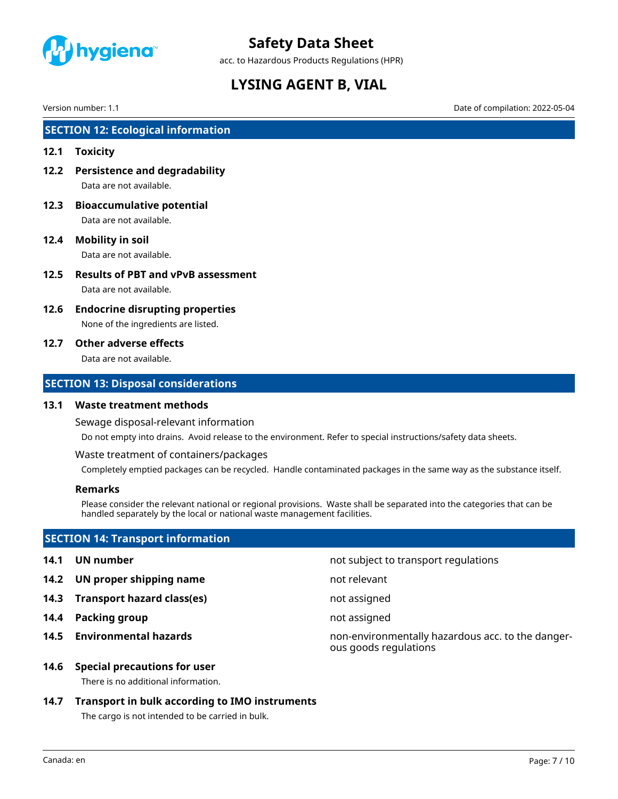

acc. to Hazardous Products Regulations (HPR)

# **LYSING AGENT B, VIAL**

Version number: 1.1 Date of compilation: 2022-05-04

# **SECTION 12: Ecological information**

### **12.1 Toxicity**

- **12.2 Persistence and degradability** Data are not available.
- **12.3 Bioaccumulative potential** Data are not available.
- **12.4 Mobility in soil** Data are not available.
- **12.5 Results of PBT and vPvB assessment** Data are not available.
- **12.6 Endocrine disrupting properties**

None of the ingredients are listed.

### **12.7 Other adverse effects**

Data are not available.

# **SECTION 13: Disposal considerations**

### **13.1 Waste treatment methods**

Sewage disposal-relevant information

Do not empty into drains. Avoid release to the environment. Refer to special instructions/safety data sheets.

Waste treatment of containers/packages

Completely emptied packages can be recycled. Handle contaminated packages in the same way as the substance itself.

### **Remarks**

Please consider the relevant national or regional provisions. Waste shall be separated into the categories that can be handled separately by the local or national waste management facilities.

# **SECTION 14: Transport information**

- **14.1 UN number 14.1 UN** number
- **14.2 UN proper shipping name** not relevant
- **14.3 Transport hazard class(es)** not assigned
- **14.4 Packing group not assigned**
- 

**14.5 Environmental hazards** non-environmentally hazardous acc. to the dangerous goods regulations

#### **14.6 Special precautions for user**

There is no additional information.

# **14.7 Transport in bulk according to IMO instruments**

The cargo is not intended to be carried in bulk.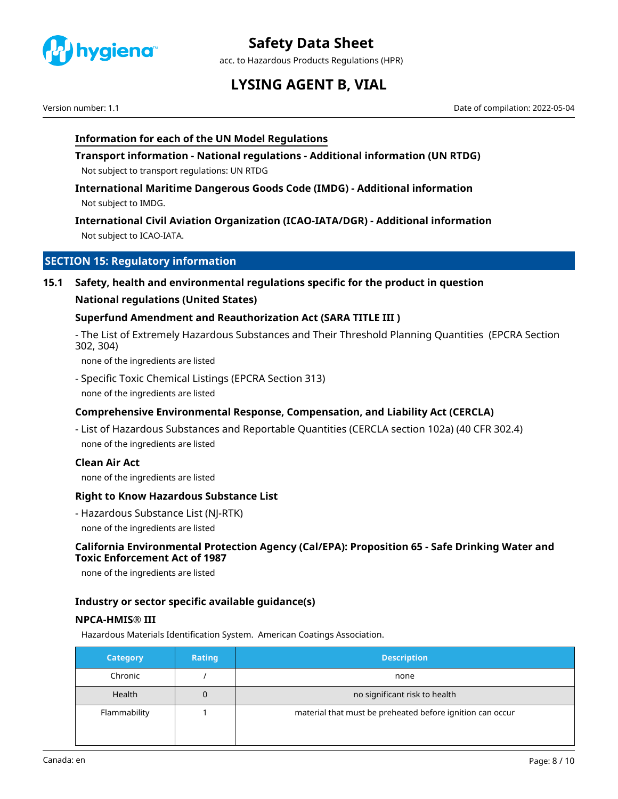

acc. to Hazardous Products Regulations (HPR)

# **LYSING AGENT B, VIAL**

Version number: 1.1 Date of compilation: 2022-05-04

# **Information for each of the UN Model Regulations**

**Transport information - National regulations - Additional information (UN RTDG)** Not subject to transport regulations: UN RTDG

**International Maritime Dangerous Goods Code (IMDG) - Additional information** Not subject to IMDG.

**International Civil Aviation Organization (ICAO-IATA/DGR) - Additional information** Not subject to ICAO-IATA.

# **SECTION 15: Regulatory information**

**15.1 Safety, health and environmental regulations specific for the product in question**

# **National regulations (United States)**

# **Superfund Amendment and Reauthorization Act (SARA TITLE III )**

- The List of Extremely Hazardous Substances and Their Threshold Planning Quantities (EPCRA Section 302, 304)

none of the ingredients are listed

- Specific Toxic Chemical Listings (EPCRA Section 313) none of the ingredients are listed

# **Comprehensive Environmental Response, Compensation, and Liability Act (CERCLA)**

- List of Hazardous Substances and Reportable Quantities (CERCLA section 102a) (40 CFR 302.4) none of the ingredients are listed

### **Clean Air Act**

none of the ingredients are listed

### **Right to Know Hazardous Substance List**

- Hazardous Substance List (NJ-RTK) none of the ingredients are listed

# **California Environmental Protection Agency (Cal/EPA): Proposition 65 - Safe Drinking Water and Toxic Enforcement Act of 1987**

none of the ingredients are listed

### **Industry or sector specific available guidance(s)**

### **NPCA-HMIS® III**

Hazardous Materials Identification System. American Coatings Association.

| <b>Category</b> | <b>Rating</b> | <b>Description</b>                                        |
|-----------------|---------------|-----------------------------------------------------------|
| Chronic         |               | none                                                      |
| Health          | 0             | no significant risk to health                             |
| Flammability    |               | material that must be preheated before ignition can occur |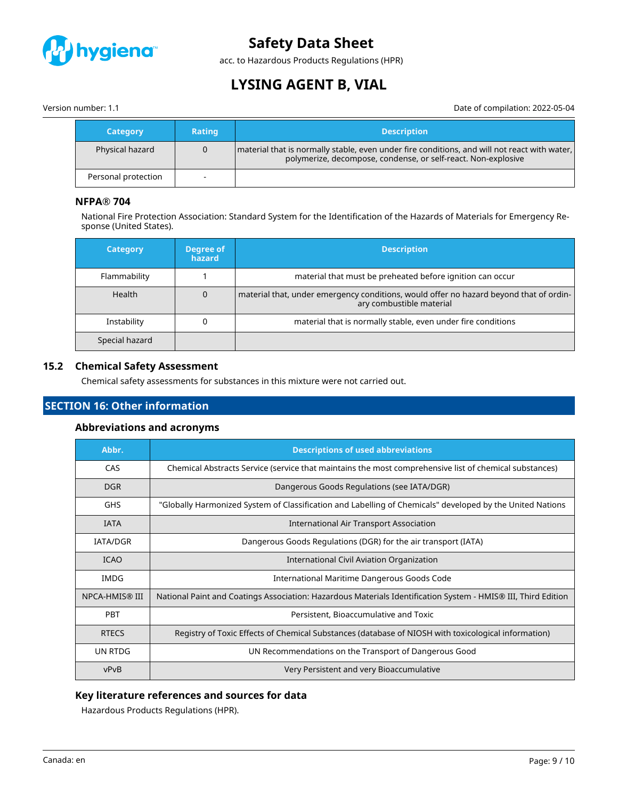

acc. to Hazardous Products Regulations (HPR)

# **LYSING AGENT B, VIAL**

Version number: 1.1 Date of compilation: 2022-05-04

| <b>Category</b>     | <b>Rating</b> | <b>Description</b>                                                                                                                                              |
|---------------------|---------------|-----------------------------------------------------------------------------------------------------------------------------------------------------------------|
| Physical hazard     |               | material that is normally stable, even under fire conditions, and will not react with water,  <br>polymerize, decompose, condense, or self-react. Non-explosive |
| Personal protection |               |                                                                                                                                                                 |

# **NFPA® 704**

National Fire Protection Association: Standard System for the Identification of the Hazards of Materials for Emergency Response (United States).

| <b>Category</b> | Degree of<br>hazard | <b>Description</b>                                                                                                 |
|-----------------|---------------------|--------------------------------------------------------------------------------------------------------------------|
| Flammability    |                     | material that must be preheated before ignition can occur                                                          |
| Health          |                     | material that, under emergency conditions, would offer no hazard beyond that of ordin-<br>ary combustible material |
| Instability     |                     | material that is normally stable, even under fire conditions                                                       |
| Special hazard  |                     |                                                                                                                    |

# **15.2 Chemical Safety Assessment**

Chemical safety assessments for substances in this mixture were not carried out.

# **SECTION 16: Other information**

### **Abbreviations and acronyms**

| Abbr.                                                                                                                   | <b>Descriptions of used abbreviations</b>                                                                     |
|-------------------------------------------------------------------------------------------------------------------------|---------------------------------------------------------------------------------------------------------------|
| CAS<br>Chemical Abstracts Service (service that maintains the most comprehensive list of chemical substances)           |                                                                                                               |
| <b>DGR</b>                                                                                                              | Dangerous Goods Regulations (see IATA/DGR)                                                                    |
| "Globally Harmonized System of Classification and Labelling of Chemicals" developed by the United Nations<br><b>GHS</b> |                                                                                                               |
| <b>IATA</b><br><b>International Air Transport Association</b>                                                           |                                                                                                               |
| Dangerous Goods Regulations (DGR) for the air transport (IATA)<br><b>IATA/DGR</b>                                       |                                                                                                               |
| <b>ICAO</b>                                                                                                             | International Civil Aviation Organization                                                                     |
| IMDG<br>International Maritime Dangerous Goods Code                                                                     |                                                                                                               |
| NPCA-HMIS® III                                                                                                          | National Paint and Coatings Association: Hazardous Materials Identification System - HMIS® III, Third Edition |
| <b>PBT</b>                                                                                                              | Persistent, Bioaccumulative and Toxic                                                                         |
| <b>RTECS</b>                                                                                                            | Registry of Toxic Effects of Chemical Substances (database of NIOSH with toxicological information)           |
| UN RTDG                                                                                                                 | UN Recommendations on the Transport of Dangerous Good                                                         |
| vPvB<br>Very Persistent and very Bioaccumulative                                                                        |                                                                                                               |

# **Key literature references and sources for data**

Hazardous Products Regulations (HPR).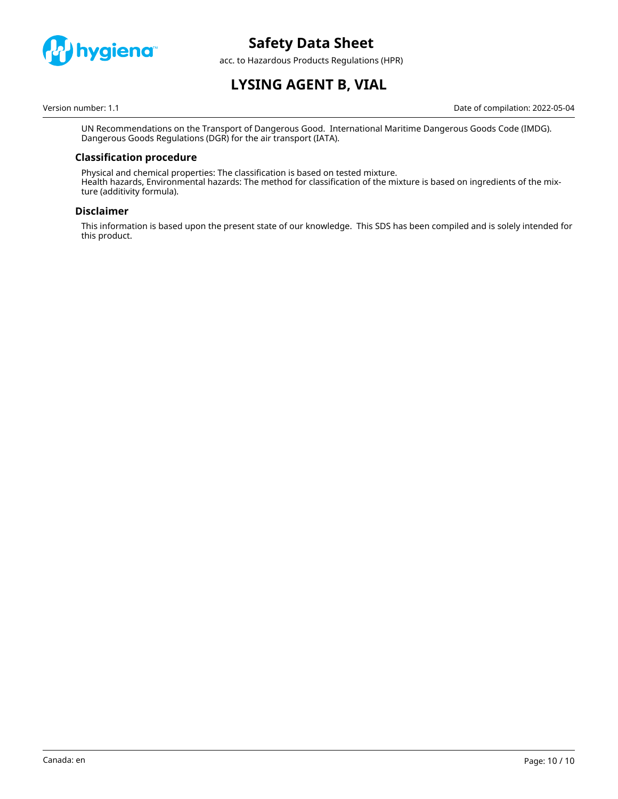

acc. to Hazardous Products Regulations (HPR)

# **LYSING AGENT B, VIAL**

Version number: 1.1 Date of compilation: 2022-05-04

UN Recommendations on the Transport of Dangerous Good. International Maritime Dangerous Goods Code (IMDG). Dangerous Goods Regulations (DGR) for the air transport (IATA).

# **Classification procedure**

Physical and chemical properties: The classification is based on tested mixture. Health hazards, Environmental hazards: The method for classification of the mixture is based on ingredients of the mixture (additivity formula).

### **Disclaimer**

This information is based upon the present state of our knowledge. This SDS has been compiled and is solely intended for this product.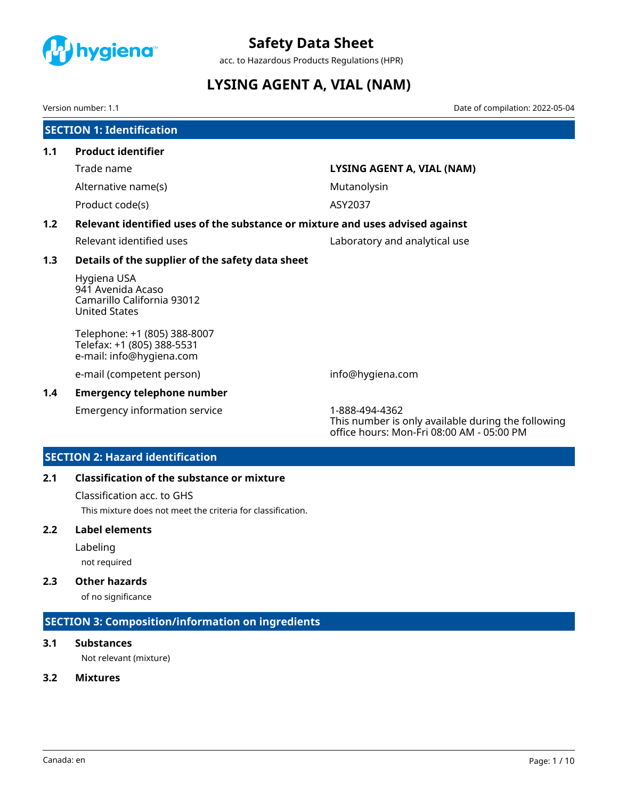<span id="page-35-0"></span>

acc. to Hazardous Products Regulations (HPR)

# **LYSING AGENT A, VIAL (NAM)**

Version number: 1.1 Date of compilation: 2022-05-04

|     | <b>SECTION 1: Identification</b>                                                       |                                                                                                                   |  |  |
|-----|----------------------------------------------------------------------------------------|-------------------------------------------------------------------------------------------------------------------|--|--|
| 1.1 | <b>Product identifier</b>                                                              |                                                                                                                   |  |  |
|     | Trade name                                                                             | LYSING AGENT A, VIAL (NAM)                                                                                        |  |  |
|     | Alternative name(s)                                                                    | Mutanolysin                                                                                                       |  |  |
|     | Product code(s)                                                                        | ASY2037                                                                                                           |  |  |
| 1.2 | Relevant identified uses of the substance or mixture and uses advised against          |                                                                                                                   |  |  |
|     | Relevant identified uses                                                               | Laboratory and analytical use                                                                                     |  |  |
| 1.3 | Details of the supplier of the safety data sheet                                       |                                                                                                                   |  |  |
|     | Hygiena USA<br>941 Avenida Acaso<br>Camarillo California 93012<br><b>United States</b> |                                                                                                                   |  |  |
|     | Telephone: +1 (805) 388-8007<br>Telefax: +1 (805) 388-5531<br>e-mail: info@hygiena.com |                                                                                                                   |  |  |
|     | e-mail (competent person)                                                              | info@hygiena.com                                                                                                  |  |  |
| 1.4 | <b>Emergency telephone number</b>                                                      |                                                                                                                   |  |  |
|     | Emergency information service                                                          | 1-888-494-4362<br>This number is only available during the following<br>office hours: Mon-Fri 08:00 AM - 05:00 PM |  |  |

# **SECTION 2: Hazard identification**

# **2.1 Classification of the substance or mixture**

Classification acc. to GHS

This mixture does not meet the criteria for classification.

### **2.2 Label elements**

Labeling

not required

# **2.3 Other hazards**

of no significance

# **SECTION 3: Composition/information on ingredients**

# **3.1 Substances**

Not relevant (mixture)

# **3.2 Mixtures**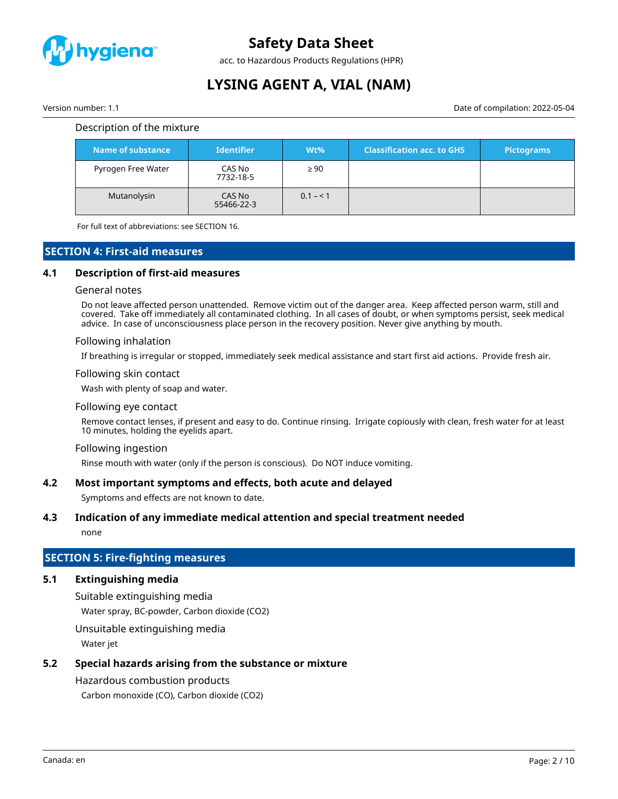

acc. to Hazardous Products Regulations (HPR)

# **LYSING AGENT A, VIAL (NAM)**

Version number: 1.1 Date of compilation: 2022-05-04

#### Description of the mixture

| Name of substance  | <b>Identifier</b>    | $Wt\%$    | <b>Classification acc. to GHS</b> | <b>Pictograms</b> |
|--------------------|----------------------|-----------|-----------------------------------|-------------------|
| Pyrogen Free Water | CAS No<br>7732-18-5  | $\geq 90$ |                                   |                   |
| Mutanolysin        | CAS No<br>55466-22-3 | $0.1 - 1$ |                                   |                   |

For full text of abbreviations: see SECTION 16.

# **SECTION 4: First-aid measures**

#### **4.1 Description of first-aid measures**

#### General notes

Do not leave affected person unattended. Remove victim out of the danger area. Keep affected person warm, still and covered. Take off immediately all contaminated clothing. In all cases of doubt, or when symptoms persist, seek medical advice. In case of unconsciousness place person in the recovery position. Never give anything by mouth.

#### Following inhalation

If breathing is irregular or stopped, immediately seek medical assistance and start first aid actions. Provide fresh air.

#### Following skin contact

Wash with plenty of soap and water.

#### Following eye contact

Remove contact lenses, if present and easy to do. Continue rinsing. Irrigate copiously with clean, fresh water for at least 10 minutes, holding the eyelids apart.

#### Following ingestion

Rinse mouth with water (only if the person is conscious). Do NOT induce vomiting.

#### **4.2 Most important symptoms and effects, both acute and delayed**

Symptoms and effects are not known to date.

#### **4.3 Indication of any immediate medical attention and special treatment needed**

none

# **SECTION 5: Fire-fighting measures**

# **5.1 Extinguishing media**

Suitable extinguishing media

Water spray, BC-powder, Carbon dioxide (CO2)

Unsuitable extinguishing media

Water jet

# **5.2 Special hazards arising from the substance or mixture**

# Hazardous combustion products

Carbon monoxide (CO), Carbon dioxide (CO2)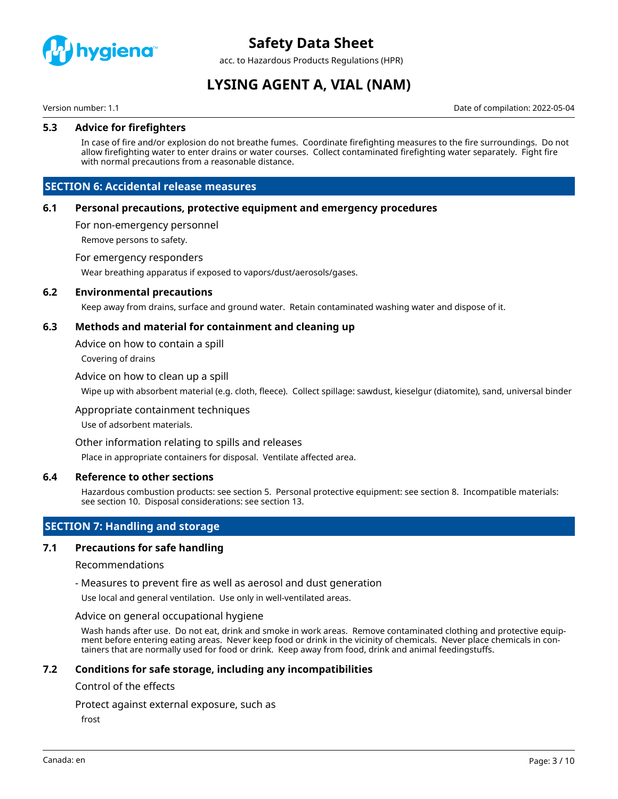

acc. to Hazardous Products Regulations (HPR)

# **LYSING AGENT A, VIAL (NAM)**

Version number: 1.1 Date of compilation: 2022-05-04

### **5.3 Advice for firefighters**

In case of fire and/or explosion do not breathe fumes. Coordinate firefighting measures to the fire surroundings. Do not allow firefighting water to enter drains or water courses. Collect contaminated firefighting water separately. Fight fire with normal precautions from a reasonable distance.

# **SECTION 6: Accidental release measures**

#### **6.1 Personal precautions, protective equipment and emergency procedures**

For non-emergency personnel

Remove persons to safety.

#### For emergency responders

Wear breathing apparatus if exposed to vapors/dust/aerosols/gases.

#### **6.2 Environmental precautions**

Keep away from drains, surface and ground water. Retain contaminated washing water and dispose of it.

### **6.3 Methods and material for containment and cleaning up**

Advice on how to contain a spill

Covering of drains

#### Advice on how to clean up a spill

Wipe up with absorbent material (e.g. cloth, fleece). Collect spillage: sawdust, kieselgur (diatomite), sand, universal binder

#### Appropriate containment techniques

Use of adsorbent materials.

#### Other information relating to spills and releases

Place in appropriate containers for disposal. Ventilate affected area.

#### **6.4 Reference to other sections**

Hazardous combustion products: see section 5. Personal protective equipment: see section 8. Incompatible materials: see section 10. Disposal considerations: see section 13.

# **SECTION 7: Handling and storage**

#### **7.1 Precautions for safe handling**

#### Recommendations

- Measures to prevent fire as well as aerosol and dust generation

Use local and general ventilation. Use only in well-ventilated areas.

#### Advice on general occupational hygiene

Wash hands after use. Do not eat, drink and smoke in work areas. Remove contaminated clothing and protective equipment before entering eating areas. Never keep food or drink in the vicinity of chemicals. Never place chemicals in containers that are normally used for food or drink. Keep away from food, drink and animal feedingstuffs.

#### **7.2 Conditions for safe storage, including any incompatibilities**

#### Control of the effects

Protect against external exposure, such as

frost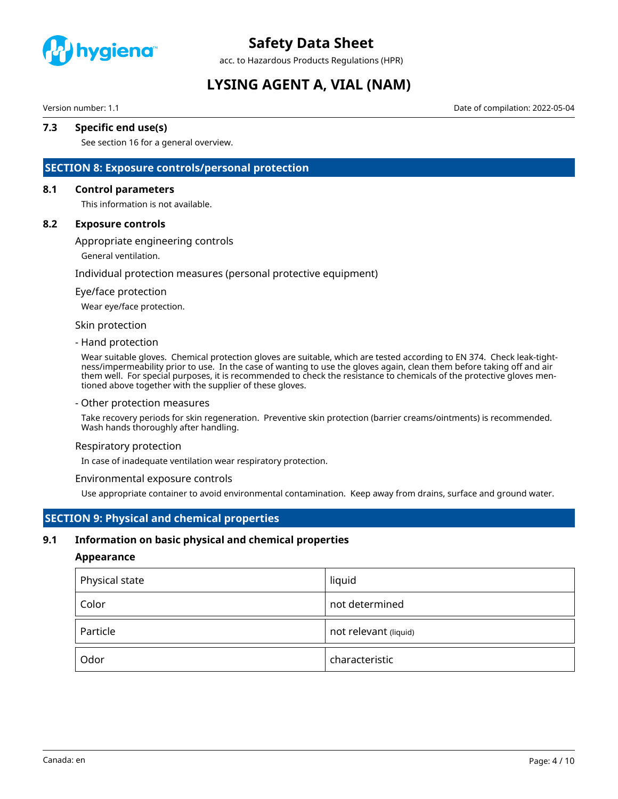

acc. to Hazardous Products Regulations (HPR)

# **LYSING AGENT A, VIAL (NAM)**

Version number: 1.1 Date of compilation: 2022-05-04

# **7.3 Specific end use(s)**

See section 16 for a general overview.

# **SECTION 8: Exposure controls/personal protection**

#### **8.1 Control parameters**

This information is not available.

#### **8.2 Exposure controls**

Appropriate engineering controls

General ventilation.

#### Individual protection measures (personal protective equipment)

#### Eye/face protection

Wear eye/face protection.

#### Skin protection

#### - Hand protection

Wear suitable gloves. Chemical protection gloves are suitable, which are tested according to EN 374. Check leak-tightness/impermeability prior to use. In the case of wanting to use the gloves again, clean them before taking off and air them well. For special purposes, it is recommended to check the resistance to chemicals of the protective gloves mentioned above together with the supplier of these gloves.

#### - Other protection measures

Take recovery periods for skin regeneration. Preventive skin protection (barrier creams/ointments) is recommended. Wash hands thoroughly after handling.

#### Respiratory protection

In case of inadequate ventilation wear respiratory protection.

#### Environmental exposure controls

Use appropriate container to avoid environmental contamination. Keep away from drains, surface and ground water.

### **SECTION 9: Physical and chemical properties**

#### **9.1 Information on basic physical and chemical properties**

#### **Appearance**

| Physical state | liquid                |
|----------------|-----------------------|
| Color          | not determined        |
| Particle       | not relevant (liquid) |
| Odor           | characteristic        |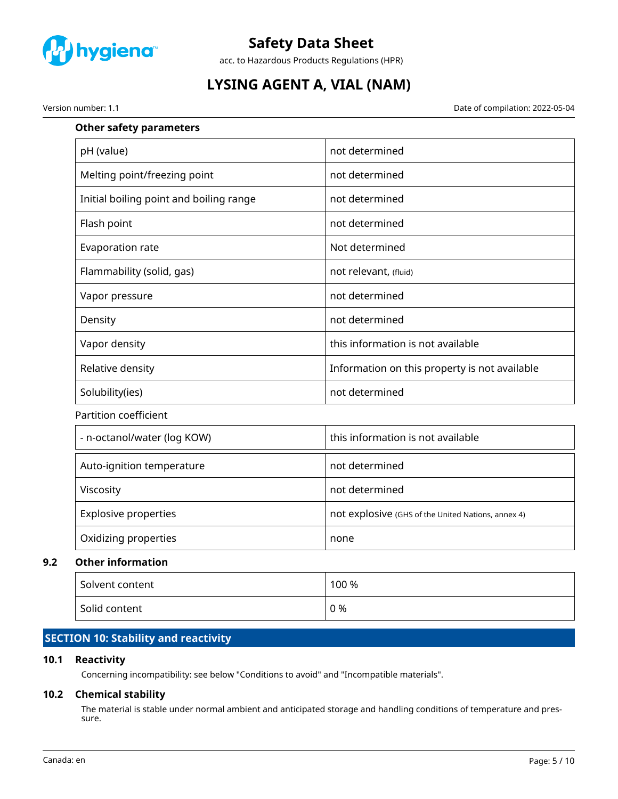

acc. to Hazardous Products Regulations (HPR)

# **LYSING AGENT A, VIAL (NAM)**

Version number: 1.1 Date of compilation: 2022-05-04

| <b>Other safety parameters</b>          |                                                    |
|-----------------------------------------|----------------------------------------------------|
| pH (value)                              | not determined                                     |
| Melting point/freezing point            | not determined                                     |
| Initial boiling point and boiling range | not determined                                     |
| Flash point                             | not determined                                     |
| Evaporation rate                        | Not determined                                     |
| Flammability (solid, gas)               | not relevant, (fluid)                              |
| Vapor pressure                          | not determined                                     |
| Density                                 | not determined                                     |
| Vapor density                           | this information is not available                  |
| Relative density                        | Information on this property is not available      |
| Solubility(ies)                         | not determined                                     |
| Partition coefficient                   |                                                    |
| - n-octanol/water (log KOW)             | this information is not available                  |
| Auto-ignition temperature               | not determined                                     |
| Viscosity                               | not determined                                     |
| <b>Explosive properties</b>             | not explosive (GHS of the United Nations, annex 4) |
| Oxidizing properties                    | none                                               |
| <b>Other information</b>                |                                                    |
|                                         |                                                    |

# **9.2 Other information**

| Solvent content | 100 % |
|-----------------|-------|
| Solid content   | 0 %   |

# **SECTION 10: Stability and reactivity**

# **10.1 Reactivity**

Concerning incompatibility: see below "Conditions to avoid" and "Incompatible materials".

# **10.2 Chemical stability**

The material is stable under normal ambient and anticipated storage and handling conditions of temperature and pressure.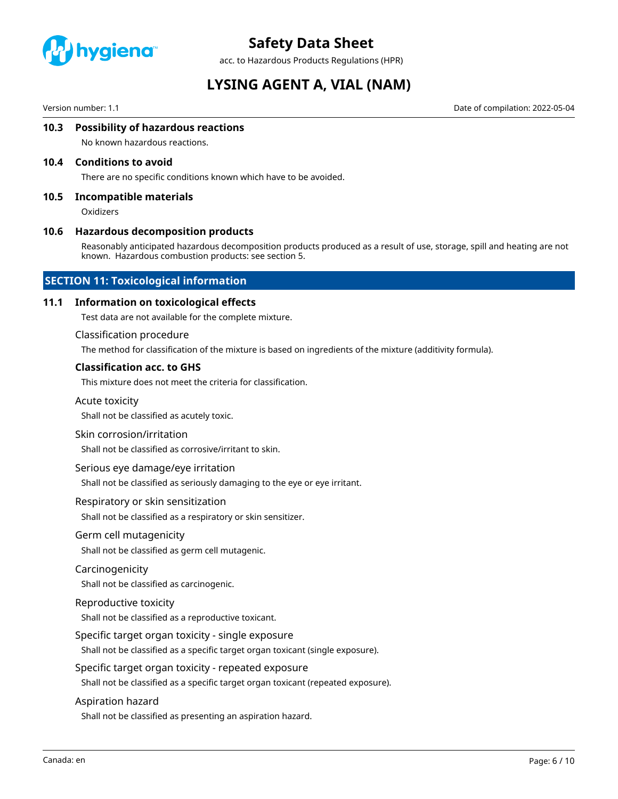

acc. to Hazardous Products Regulations (HPR)

# **LYSING AGENT A, VIAL (NAM)**

Version number: 1.1 Date of compilation: 2022-05-04

### **10.3 Possibility of hazardous reactions**

No known hazardous reactions.

#### **10.4 Conditions to avoid**

There are no specific conditions known which have to be avoided.

#### **10.5 Incompatible materials**

**Oxidizers** 

#### **10.6 Hazardous decomposition products**

Reasonably anticipated hazardous decomposition products produced as a result of use, storage, spill and heating are not known. Hazardous combustion products: see section 5.

### **SECTION 11: Toxicological information**

#### **11.1 Information on toxicological effects**

Test data are not available for the complete mixture.

#### Classification procedure

The method for classification of the mixture is based on ingredients of the mixture (additivity formula).

### **Classification acc. to GHS**

This mixture does not meet the criteria for classification.

#### Acute toxicity

Shall not be classified as acutely toxic.

#### Skin corrosion/irritation

Shall not be classified as corrosive/irritant to skin.

#### Serious eye damage/eye irritation

Shall not be classified as seriously damaging to the eye or eye irritant.

#### Respiratory or skin sensitization

Shall not be classified as a respiratory or skin sensitizer.

#### Germ cell mutagenicity

Shall not be classified as germ cell mutagenic.

#### Carcinogenicity

Shall not be classified as carcinogenic.

#### Reproductive toxicity

Shall not be classified as a reproductive toxicant.

#### Specific target organ toxicity - single exposure

Shall not be classified as a specific target organ toxicant (single exposure).

#### Specific target organ toxicity - repeated exposure

Shall not be classified as a specific target organ toxicant (repeated exposure).

#### Aspiration hazard

Shall not be classified as presenting an aspiration hazard.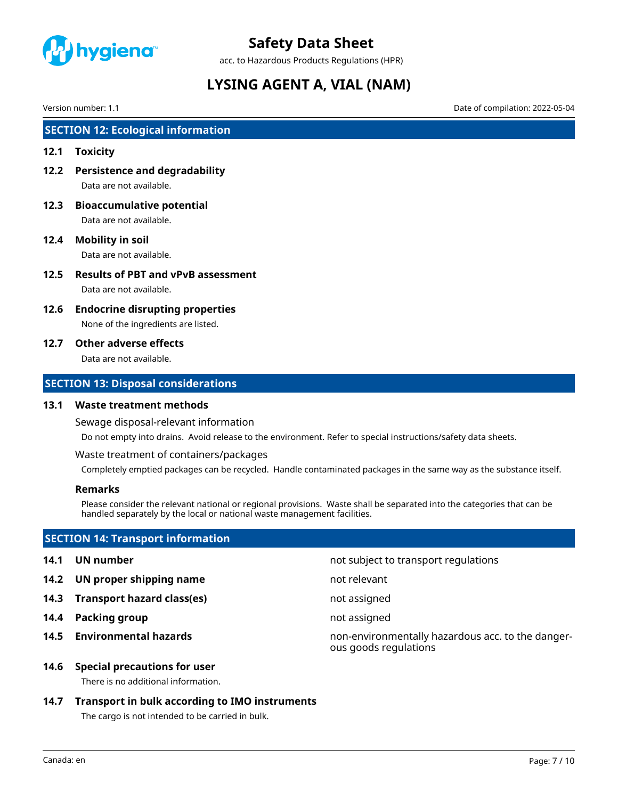

acc. to Hazardous Products Regulations (HPR)

# **LYSING AGENT A, VIAL (NAM)**

Version number: 1.1 Date of compilation: 2022-05-04

# **SECTION 12: Ecological information**

#### **12.1 Toxicity**

- **12.2 Persistence and degradability** Data are not available.
- **12.3 Bioaccumulative potential** Data are not available.
- **12.4 Mobility in soil** Data are not available.
- **12.5 Results of PBT and vPvB assessment** Data are not available.
- **12.6 Endocrine disrupting properties**

None of the ingredients are listed.

### **12.7 Other adverse effects**

Data are not available.

# **SECTION 13: Disposal considerations**

#### **13.1 Waste treatment methods**

Sewage disposal-relevant information

Do not empty into drains. Avoid release to the environment. Refer to special instructions/safety data sheets.

Waste treatment of containers/packages

Completely emptied packages can be recycled. Handle contaminated packages in the same way as the substance itself.

### **Remarks**

Please consider the relevant national or regional provisions. Waste shall be separated into the categories that can be handled separately by the local or national waste management facilities.

# **SECTION 14: Transport information**

- 
- **14.2 UN proper shipping name** not relevant
- **14.3 Transport hazard class(es)** not assigned
- **14.4 Packing group not assigned**
- 

**14.1 UN number 14.1 UN** number

**14.5 Environmental hazards** non-environmentally hazardous acc. to the dangerous goods regulations

#### **14.6 Special precautions for user**

There is no additional information.

# **14.7 Transport in bulk according to IMO instruments**

The cargo is not intended to be carried in bulk.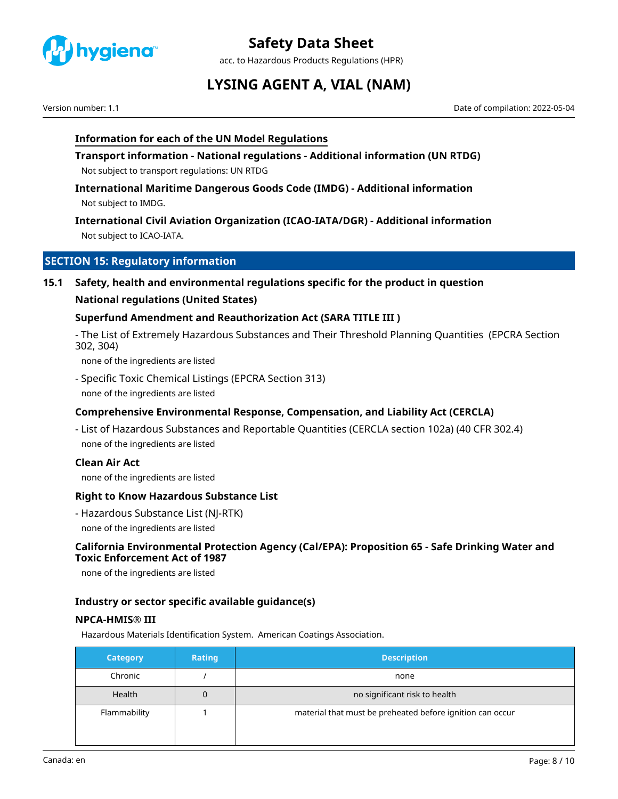

acc. to Hazardous Products Regulations (HPR)

# **LYSING AGENT A, VIAL (NAM)**

Version number: 1.1 Date of compilation: 2022-05-04

# **Information for each of the UN Model Regulations**

**Transport information - National regulations - Additional information (UN RTDG)** Not subject to transport regulations: UN RTDG

**International Maritime Dangerous Goods Code (IMDG) - Additional information** Not subject to IMDG.

**International Civil Aviation Organization (ICAO-IATA/DGR) - Additional information** Not subject to ICAO-IATA.

# **SECTION 15: Regulatory information**

**15.1 Safety, health and environmental regulations specific for the product in question**

### **National regulations (United States)**

### **Superfund Amendment and Reauthorization Act (SARA TITLE III )**

- The List of Extremely Hazardous Substances and Their Threshold Planning Quantities (EPCRA Section 302, 304)

none of the ingredients are listed

- Specific Toxic Chemical Listings (EPCRA Section 313) none of the ingredients are listed

# **Comprehensive Environmental Response, Compensation, and Liability Act (CERCLA)**

- List of Hazardous Substances and Reportable Quantities (CERCLA section 102a) (40 CFR 302.4) none of the ingredients are listed

### **Clean Air Act**

none of the ingredients are listed

# **Right to Know Hazardous Substance List**

- Hazardous Substance List (NJ-RTK) none of the ingredients are listed

# **California Environmental Protection Agency (Cal/EPA): Proposition 65 - Safe Drinking Water and Toxic Enforcement Act of 1987**

none of the ingredients are listed

### **Industry or sector specific available guidance(s)**

### **NPCA-HMIS® III**

Hazardous Materials Identification System. American Coatings Association.

| <b>Category</b> | <b>Rating</b> | <b>Description</b>                                        |
|-----------------|---------------|-----------------------------------------------------------|
| Chronic         |               | none                                                      |
| Health          | 0             | no significant risk to health                             |
| Flammability    |               | material that must be preheated before ignition can occur |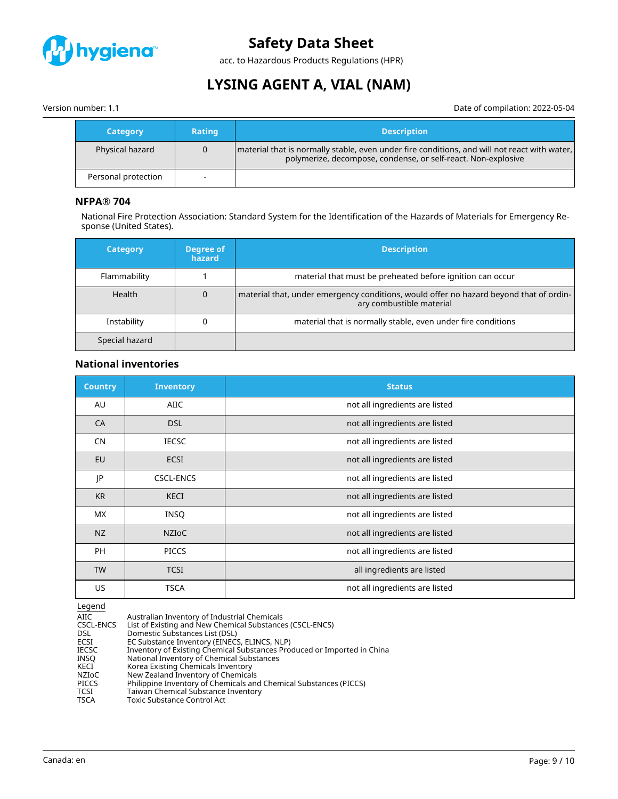

acc. to Hazardous Products Regulations (HPR)

# **LYSING AGENT A, VIAL (NAM)**

Version number: 1.1 Date of compilation: 2022-05-04

| <b>Category</b>     | <b>Rating</b> | <b>Description</b>                                                                                                                                              |
|---------------------|---------------|-----------------------------------------------------------------------------------------------------------------------------------------------------------------|
| Physical hazard     |               | material that is normally stable, even under fire conditions, and will not react with water,  <br>polymerize, decompose, condense, or self-react. Non-explosive |
| Personal protection |               |                                                                                                                                                                 |

# **NFPA® 704**

National Fire Protection Association: Standard System for the Identification of the Hazards of Materials for Emergency Response (United States).

| <b>Category</b> | Degree of<br>hazard | <b>Description</b>                                                                                                 |
|-----------------|---------------------|--------------------------------------------------------------------------------------------------------------------|
| Flammability    |                     | material that must be preheated before ignition can occur                                                          |
| <b>Health</b>   | 0                   | material that, under emergency conditions, would offer no hazard beyond that of ordin-<br>ary combustible material |
| Instability     |                     | material that is normally stable, even under fire conditions                                                       |
| Special hazard  |                     |                                                                                                                    |

### **National inventories**

| <b>Country</b> | <b>Inventory</b> | <b>Status</b>                  |
|----------------|------------------|--------------------------------|
| AU             | AIIC             | not all ingredients are listed |
| CA             | <b>DSL</b>       | not all ingredients are listed |
| <b>CN</b>      | <b>IECSC</b>     | not all ingredients are listed |
| EU             | <b>ECSI</b>      | not all ingredients are listed |
| JP             | <b>CSCL-ENCS</b> | not all ingredients are listed |
| <b>KR</b>      | <b>KECI</b>      | not all ingredients are listed |
| <b>MX</b>      | <b>INSQ</b>      | not all ingredients are listed |
| NZ             | <b>NZIOC</b>     | not all ingredients are listed |
| <b>PH</b>      | <b>PICCS</b>     | not all ingredients are listed |
| <b>TW</b>      | <b>TCSI</b>      | all ingredients are listed     |
| US.            | <b>TSCA</b>      | not all ingredients are listed |

 $\frac{\text{Legend}}{\text{AIC}}$ AIIC Australian Inventory of Industrial Chemicals<br>CSCL-ENCS List of Existing and New Chemical Substance CSCL-ENCS List of Existing and New Chemical Substances (CSCL-ENCS)<br>DSL Domestic Substances List (DSL) DSL Domestic Substances List (DSL)<br>ECSI EC Substance Inventory (EINECS ECSI EC Substance Inventory (EINECS, ELINCS, NLP) IECSC Inventory of Existing Chemical Substances Produced or Imported in China INSQ National Inventory of Chemical Substances KECI Korea Existing Chemicals Inventory NZIoC New Zealand Inventory of Chemicals<br>PICCS Philippine Inventory of Chemicals and PICCS Philippine Inventory of Chemicals and Chemical Substances (PICCS)<br>TCSI Taiwan Chemical Substance Inventory TCSI Taiwan Chemical Substance Inventory<br>
TSCA Toxic Substance Control Act Toxic Substance Control Act